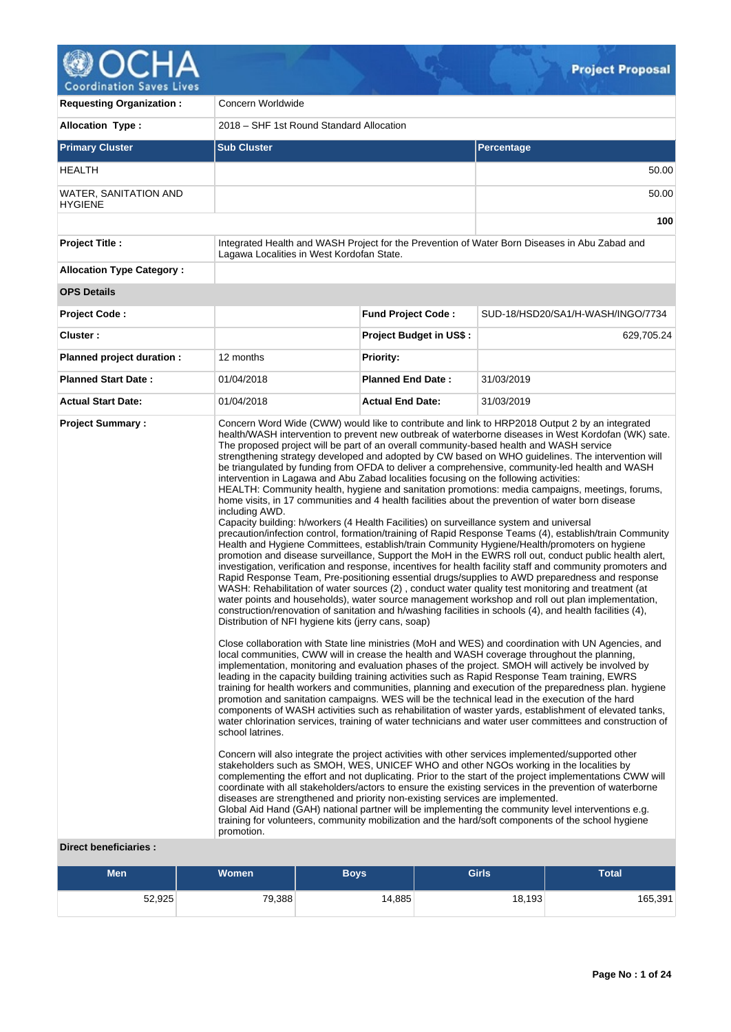

V

| <b>Requesting Organization:</b>                         | Concern Worldwide                                                                                                                                                                                                                                                                                                                                                                                                                                                       |                                |                                                                                                                                                                                                                                                                                                                                                                                                                                                                                                                                                                                                                                                                                                                                                                                                                                                                                                                                                                                                                                                                                                                                                                                                                                                                                                                                                                                                                                                                                                                                                                                                                                                                                                                                                                                                                                                                                                                                                                                                                                                                                                                                                                                                                                                                                                                                                                                                                                                                                                                                                                                                                                                                                                                                                                                                                                                                                                                                                                      |  |  |
|---------------------------------------------------------|-------------------------------------------------------------------------------------------------------------------------------------------------------------------------------------------------------------------------------------------------------------------------------------------------------------------------------------------------------------------------------------------------------------------------------------------------------------------------|--------------------------------|----------------------------------------------------------------------------------------------------------------------------------------------------------------------------------------------------------------------------------------------------------------------------------------------------------------------------------------------------------------------------------------------------------------------------------------------------------------------------------------------------------------------------------------------------------------------------------------------------------------------------------------------------------------------------------------------------------------------------------------------------------------------------------------------------------------------------------------------------------------------------------------------------------------------------------------------------------------------------------------------------------------------------------------------------------------------------------------------------------------------------------------------------------------------------------------------------------------------------------------------------------------------------------------------------------------------------------------------------------------------------------------------------------------------------------------------------------------------------------------------------------------------------------------------------------------------------------------------------------------------------------------------------------------------------------------------------------------------------------------------------------------------------------------------------------------------------------------------------------------------------------------------------------------------------------------------------------------------------------------------------------------------------------------------------------------------------------------------------------------------------------------------------------------------------------------------------------------------------------------------------------------------------------------------------------------------------------------------------------------------------------------------------------------------------------------------------------------------------------------------------------------------------------------------------------------------------------------------------------------------------------------------------------------------------------------------------------------------------------------------------------------------------------------------------------------------------------------------------------------------------------------------------------------------------------------------------------------------|--|--|
| <b>Allocation Type:</b>                                 | 2018 – SHF 1st Round Standard Allocation                                                                                                                                                                                                                                                                                                                                                                                                                                |                                |                                                                                                                                                                                                                                                                                                                                                                                                                                                                                                                                                                                                                                                                                                                                                                                                                                                                                                                                                                                                                                                                                                                                                                                                                                                                                                                                                                                                                                                                                                                                                                                                                                                                                                                                                                                                                                                                                                                                                                                                                                                                                                                                                                                                                                                                                                                                                                                                                                                                                                                                                                                                                                                                                                                                                                                                                                                                                                                                                                      |  |  |
| <b>Primary Cluster</b>                                  | <b>Sub Cluster</b>                                                                                                                                                                                                                                                                                                                                                                                                                                                      |                                | <b>Percentage</b>                                                                                                                                                                                                                                                                                                                                                                                                                                                                                                                                                                                                                                                                                                                                                                                                                                                                                                                                                                                                                                                                                                                                                                                                                                                                                                                                                                                                                                                                                                                                                                                                                                                                                                                                                                                                                                                                                                                                                                                                                                                                                                                                                                                                                                                                                                                                                                                                                                                                                                                                                                                                                                                                                                                                                                                                                                                                                                                                                    |  |  |
| <b>HEALTH</b>                                           |                                                                                                                                                                                                                                                                                                                                                                                                                                                                         |                                | 50.00                                                                                                                                                                                                                                                                                                                                                                                                                                                                                                                                                                                                                                                                                                                                                                                                                                                                                                                                                                                                                                                                                                                                                                                                                                                                                                                                                                                                                                                                                                                                                                                                                                                                                                                                                                                                                                                                                                                                                                                                                                                                                                                                                                                                                                                                                                                                                                                                                                                                                                                                                                                                                                                                                                                                                                                                                                                                                                                                                                |  |  |
| WATER, SANITATION AND<br><b>HYGIENE</b>                 |                                                                                                                                                                                                                                                                                                                                                                                                                                                                         |                                | 50.00                                                                                                                                                                                                                                                                                                                                                                                                                                                                                                                                                                                                                                                                                                                                                                                                                                                                                                                                                                                                                                                                                                                                                                                                                                                                                                                                                                                                                                                                                                                                                                                                                                                                                                                                                                                                                                                                                                                                                                                                                                                                                                                                                                                                                                                                                                                                                                                                                                                                                                                                                                                                                                                                                                                                                                                                                                                                                                                                                                |  |  |
|                                                         |                                                                                                                                                                                                                                                                                                                                                                                                                                                                         |                                | 100                                                                                                                                                                                                                                                                                                                                                                                                                                                                                                                                                                                                                                                                                                                                                                                                                                                                                                                                                                                                                                                                                                                                                                                                                                                                                                                                                                                                                                                                                                                                                                                                                                                                                                                                                                                                                                                                                                                                                                                                                                                                                                                                                                                                                                                                                                                                                                                                                                                                                                                                                                                                                                                                                                                                                                                                                                                                                                                                                                  |  |  |
| <b>Project Title:</b>                                   | Lagawa Localities in West Kordofan State.                                                                                                                                                                                                                                                                                                                                                                                                                               |                                | Integrated Health and WASH Project for the Prevention of Water Born Diseases in Abu Zabad and                                                                                                                                                                                                                                                                                                                                                                                                                                                                                                                                                                                                                                                                                                                                                                                                                                                                                                                                                                                                                                                                                                                                                                                                                                                                                                                                                                                                                                                                                                                                                                                                                                                                                                                                                                                                                                                                                                                                                                                                                                                                                                                                                                                                                                                                                                                                                                                                                                                                                                                                                                                                                                                                                                                                                                                                                                                                        |  |  |
| <b>Allocation Type Category:</b>                        |                                                                                                                                                                                                                                                                                                                                                                                                                                                                         |                                |                                                                                                                                                                                                                                                                                                                                                                                                                                                                                                                                                                                                                                                                                                                                                                                                                                                                                                                                                                                                                                                                                                                                                                                                                                                                                                                                                                                                                                                                                                                                                                                                                                                                                                                                                                                                                                                                                                                                                                                                                                                                                                                                                                                                                                                                                                                                                                                                                                                                                                                                                                                                                                                                                                                                                                                                                                                                                                                                                                      |  |  |
| <b>OPS Details</b>                                      |                                                                                                                                                                                                                                                                                                                                                                                                                                                                         |                                |                                                                                                                                                                                                                                                                                                                                                                                                                                                                                                                                                                                                                                                                                                                                                                                                                                                                                                                                                                                                                                                                                                                                                                                                                                                                                                                                                                                                                                                                                                                                                                                                                                                                                                                                                                                                                                                                                                                                                                                                                                                                                                                                                                                                                                                                                                                                                                                                                                                                                                                                                                                                                                                                                                                                                                                                                                                                                                                                                                      |  |  |
| <b>Project Code:</b>                                    |                                                                                                                                                                                                                                                                                                                                                                                                                                                                         | <b>Fund Project Code:</b>      | SUD-18/HSD20/SA1/H-WASH/INGO/7734                                                                                                                                                                                                                                                                                                                                                                                                                                                                                                                                                                                                                                                                                                                                                                                                                                                                                                                                                                                                                                                                                                                                                                                                                                                                                                                                                                                                                                                                                                                                                                                                                                                                                                                                                                                                                                                                                                                                                                                                                                                                                                                                                                                                                                                                                                                                                                                                                                                                                                                                                                                                                                                                                                                                                                                                                                                                                                                                    |  |  |
| Cluster:                                                |                                                                                                                                                                                                                                                                                                                                                                                                                                                                         | <b>Project Budget in US\$:</b> | 629,705.24                                                                                                                                                                                                                                                                                                                                                                                                                                                                                                                                                                                                                                                                                                                                                                                                                                                                                                                                                                                                                                                                                                                                                                                                                                                                                                                                                                                                                                                                                                                                                                                                                                                                                                                                                                                                                                                                                                                                                                                                                                                                                                                                                                                                                                                                                                                                                                                                                                                                                                                                                                                                                                                                                                                                                                                                                                                                                                                                                           |  |  |
| Planned project duration :                              | 12 months                                                                                                                                                                                                                                                                                                                                                                                                                                                               | <b>Priority:</b>               |                                                                                                                                                                                                                                                                                                                                                                                                                                                                                                                                                                                                                                                                                                                                                                                                                                                                                                                                                                                                                                                                                                                                                                                                                                                                                                                                                                                                                                                                                                                                                                                                                                                                                                                                                                                                                                                                                                                                                                                                                                                                                                                                                                                                                                                                                                                                                                                                                                                                                                                                                                                                                                                                                                                                                                                                                                                                                                                                                                      |  |  |
| <b>Planned Start Date:</b>                              | 01/04/2018                                                                                                                                                                                                                                                                                                                                                                                                                                                              | <b>Planned End Date:</b>       | 31/03/2019                                                                                                                                                                                                                                                                                                                                                                                                                                                                                                                                                                                                                                                                                                                                                                                                                                                                                                                                                                                                                                                                                                                                                                                                                                                                                                                                                                                                                                                                                                                                                                                                                                                                                                                                                                                                                                                                                                                                                                                                                                                                                                                                                                                                                                                                                                                                                                                                                                                                                                                                                                                                                                                                                                                                                                                                                                                                                                                                                           |  |  |
| <b>Actual Start Date:</b>                               | 01/04/2018                                                                                                                                                                                                                                                                                                                                                                                                                                                              | <b>Actual End Date:</b>        | 31/03/2019                                                                                                                                                                                                                                                                                                                                                                                                                                                                                                                                                                                                                                                                                                                                                                                                                                                                                                                                                                                                                                                                                                                                                                                                                                                                                                                                                                                                                                                                                                                                                                                                                                                                                                                                                                                                                                                                                                                                                                                                                                                                                                                                                                                                                                                                                                                                                                                                                                                                                                                                                                                                                                                                                                                                                                                                                                                                                                                                                           |  |  |
| <b>Project Summary:</b><br><b>Direct beneficiaries:</b> | The proposed project will be part of an overall community-based health and WASH service<br>intervention in Lagawa and Abu Zabad localities focusing on the following activities:<br>including AWD.<br>Capacity building: h/workers (4 Health Facilities) on surveillance system and universal<br>Distribution of NFI hygiene kits (jerry cans, soap)<br>school latrines.<br>diseases are strengthened and priority non-existing services are implemented.<br>promotion. |                                | Concern Word Wide (CWW) would like to contribute and link to HRP2018 Output 2 by an integrated<br>health/WASH intervention to prevent new outbreak of waterborne diseases in West Kordofan (WK) sate.<br>strengthening strategy developed and adopted by CW based on WHO guidelines. The intervention will<br>be triangulated by funding from OFDA to deliver a comprehensive, community-led health and WASH<br>HEALTH: Community health, hygiene and sanitation promotions: media campaigns, meetings, forums,<br>home visits, in 17 communities and 4 health facilities about the prevention of water born disease<br>precaution/infection control, formation/training of Rapid Response Teams (4), establish/train Community<br>Health and Hygiene Committees, establish/train Community Hygiene/Health/promoters on hygiene<br>promotion and disease surveillance, Support the MoH in the EWRS roll out, conduct public health alert,<br>investigation, verification and response, incentives for health facility staff and community promoters and<br>Rapid Response Team, Pre-positioning essential drugs/supplies to AWD preparedness and response<br>WASH: Rehabilitation of water sources (2), conduct water quality test monitoring and treatment (at<br>water points and households), water source management workshop and roll out plan implementation,<br>construction/renovation of sanitation and h/washing facilities in schools (4), and health facilities (4),<br>Close collaboration with State line ministries (MoH and WES) and coordination with UN Agencies, and<br>local communities, CWW will in crease the health and WASH coverage throughout the planning,<br>implementation, monitoring and evaluation phases of the project. SMOH will actively be involved by<br>leading in the capacity building training activities such as Rapid Response Team training, EWRS<br>training for health workers and communities, planning and execution of the preparedness plan. hygiene<br>promotion and sanitation campaigns. WES will be the technical lead in the execution of the hard<br>components of WASH activities such as rehabilitation of waster yards, establishment of elevated tanks,<br>water chlorination services, training of water technicians and water user committees and construction of<br>Concern will also integrate the project activities with other services implemented/supported other<br>stakeholders such as SMOH, WES, UNICEF WHO and other NGOs working in the localities by<br>complementing the effort and not duplicating. Prior to the start of the project implementations CWW will<br>coordinate with all stakeholders/actors to ensure the existing services in the prevention of waterborne<br>Global Aid Hand (GAH) national partner will be implementing the community level interventions e.g.<br>training for volunteers, community mobilization and the hard/soft components of the school hygiene |  |  |

 $\mathcal{Q}_\pm$ 

| <b>Men</b> | <b>Women</b> |        | <b>Girls</b> | Total   |  |
|------------|--------------|--------|--------------|---------|--|
| 52,925     | 79,388       | 14,885 | 18,193       | 165,391 |  |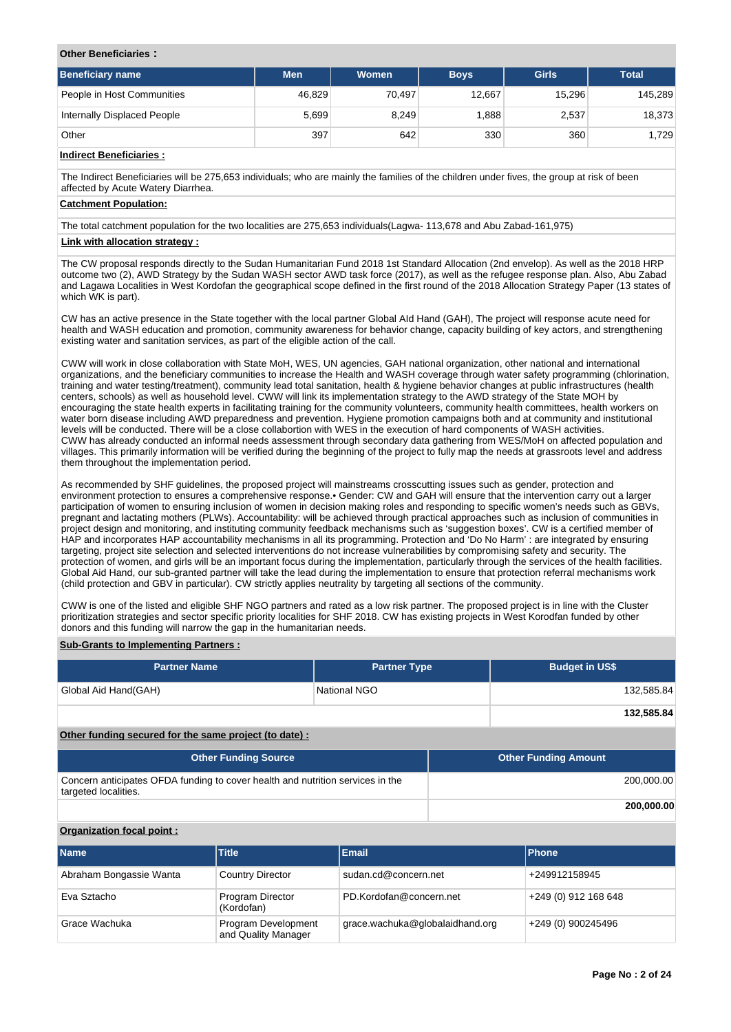#### **Other Beneficiaries :**

| Beneficiary name            | <b>Men</b> | Women  | <b>Boys</b> | Girls  | <b>Total</b> |
|-----------------------------|------------|--------|-------------|--------|--------------|
| People in Host Communities  | 46,829     | 70,497 | 12,667      | 15,296 | 145,289      |
| Internally Displaced People | 5,699      | 8,249  | 888,        | 2,537  | 18,373       |
| Other                       | 397        | 642    | 330         | 360    | 1,729        |

## **Indirect Beneficiaries :**

The Indirect Beneficiaries will be 275,653 individuals; who are mainly the families of the children under fives, the group at risk of been affected by Acute Watery Diarrhea.

#### **Catchment Population:**

The total catchment population for the two localities are 275,653 individuals(Lagwa- 113,678 and Abu Zabad-161,975)

## **Link with allocation strategy :**

The CW proposal responds directly to the Sudan Humanitarian Fund 2018 1st Standard Allocation (2nd envelop). As well as the 2018 HRP outcome two (2), AWD Strategy by the Sudan WASH sector AWD task force (2017), as well as the refugee response plan. Also, Abu Zabad and Lagawa Localities in West Kordofan the geographical scope defined in the first round of the 2018 Allocation Strategy Paper (13 states of which WK is part).

CW has an active presence in the State together with the local partner Global AId Hand (GAH), The project will response acute need for health and WASH education and promotion, community awareness for behavior change, capacity building of key actors, and strengthening existing water and sanitation services, as part of the eligible action of the call.

CWW will work in close collaboration with State MoH, WES, UN agencies, GAH national organization, other national and international organizations, and the beneficiary communities to increase the Health and WASH coverage through water safety programming (chlorination, training and water testing/treatment), community lead total sanitation, health & hygiene behavior changes at public infrastructures (health centers, schools) as well as household level. CWW will link its implementation strategy to the AWD strategy of the State MOH by encouraging the state health experts in facilitating training for the community volunteers, community health committees, health workers on water born disease including AWD preparedness and prevention. Hygiene promotion campaigns both and at community and institutional levels will be conducted. There will be a close collabortion with WES in the execution of hard components of WASH activities. CWW has already conducted an informal needs assessment through secondary data gathering from WES/MoH on affected population and villages. This primarily information will be verified during the beginning of the project to fully map the needs at grassroots level and address them throughout the implementation period.

As recommended by SHF guidelines, the proposed project will mainstreams crosscutting issues such as gender, protection and environment protection to ensures a comprehensive response.• Gender: CW and GAH will ensure that the intervention carry out a larger participation of women to ensuring inclusion of women in decision making roles and responding to specific women's needs such as GBVs, pregnant and lactating mothers (PLWs). Accountability: will be achieved through practical approaches such as inclusion of communities in project design and monitoring, and instituting community feedback mechanisms such as 'suggestion boxes'. CW is a certified member of HAP and incorporates HAP accountability mechanisms in all its programming. Protection and 'Do No Harm' : are integrated by ensuring targeting, project site selection and selected interventions do not increase vulnerabilities by compromising safety and security. The protection of women, and girls will be an important focus during the implementation, particularly through the services of the health facilities. Global Aid Hand, our sub-granted partner will take the lead during the implementation to ensure that protection referral mechanisms work (child protection and GBV in particular). CW strictly applies neutrality by targeting all sections of the community.

CWW is one of the listed and eligible SHF NGO partners and rated as a low risk partner. The proposed project is in line with the Cluster prioritization strategies and sector specific priority localities for SHF 2018. CW has existing projects in West Korodfan funded by other donors and this funding will narrow the gap in the humanitarian needs.

### **Sub-Grants to Implementing Partners :**

| <b>Partner Name</b>  | <b>Partner Type</b> | <b>Budget in US\$</b> |
|----------------------|---------------------|-----------------------|
| Global Aid Hand(GAH) | National NGO        | 132,585.84            |
|                      |                     | 132,585.84            |

## **Other funding secured for the same project (to date) :**

| <b>Other Funding Source</b>                                                                            | <b>Other Funding Amount</b> |
|--------------------------------------------------------------------------------------------------------|-----------------------------|
| Concern anticipates OFDA funding to cover health and nutrition services in the<br>targeted localities. | 200,000.00                  |
|                                                                                                        | 200,000.00                  |

#### **Organization focal point :**

| <b>Name</b>             | <b>Title</b>                               | <b>Email</b>                    | <b>Phone</b>         |
|-------------------------|--------------------------------------------|---------------------------------|----------------------|
| Abraham Bongassie Wanta | <b>Country Director</b>                    | sudan.cd@concern.net            | +249912158945        |
| Eva Sztacho             | Program Director<br>(Kordofan)             | PD.Kordofan@concern.net         | +249 (0) 912 168 648 |
| Grace Wachuka           | Program Development<br>and Quality Manager | grace.wachuka@globalaidhand.org | +249 (0) 900245496   |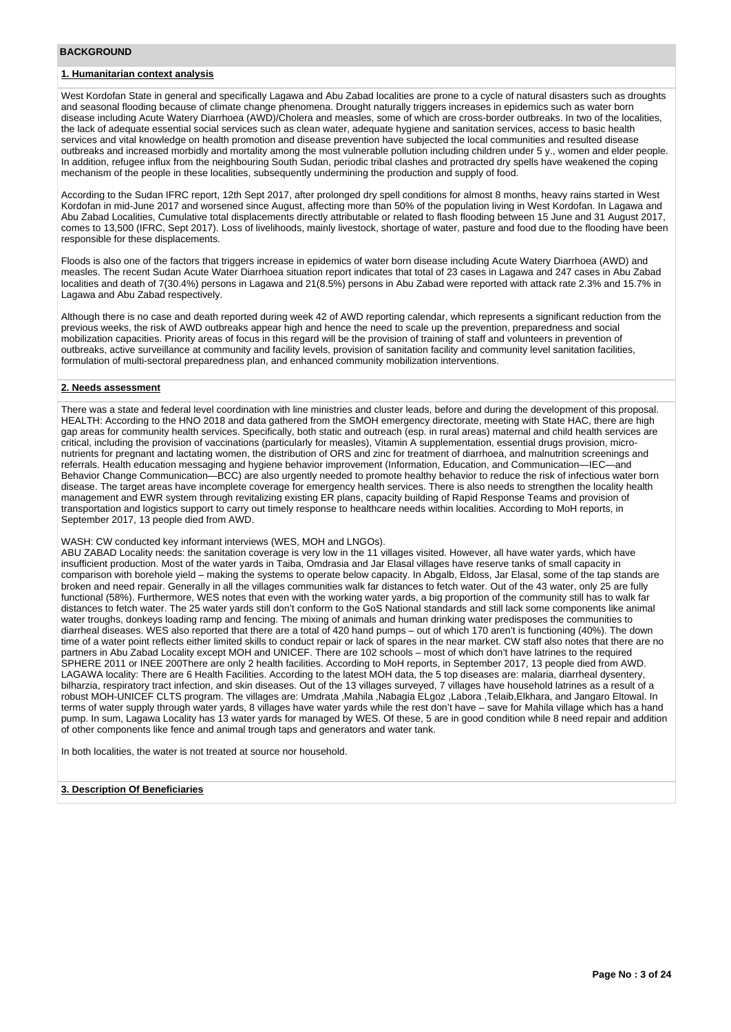### **BACKGROUND**

## **1. Humanitarian context analysis**

West Kordofan State in general and specifically Lagawa and Abu Zabad localities are prone to a cycle of natural disasters such as droughts and seasonal flooding because of climate change phenomena. Drought naturally triggers increases in epidemics such as water born disease including Acute Watery Diarrhoea (AWD)/Cholera and measles, some of which are cross-border outbreaks. In two of the localities, the lack of adequate essential social services such as clean water, adequate hygiene and sanitation services, access to basic health services and vital knowledge on health promotion and disease prevention have subjected the local communities and resulted disease outbreaks and increased morbidly and mortality among the most vulnerable pollution including children under 5 y., women and elder people. In addition, refugee influx from the neighbouring South Sudan, periodic tribal clashes and protracted dry spells have weakened the coping mechanism of the people in these localities, subsequently undermining the production and supply of food.

According to the Sudan IFRC report, 12th Sept 2017, after prolonged dry spell conditions for almost 8 months, heavy rains started in West Kordofan in mid-June 2017 and worsened since August, affecting more than 50% of the population living in West Kordofan. In Lagawa and Abu Zabad Localities, Cumulative total displacements directly attributable or related to flash flooding between 15 June and 31 August 2017, comes to 13,500 (IFRC, Sept 2017). Loss of livelihoods, mainly livestock, shortage of water, pasture and food due to the flooding have been responsible for these displacements.

Floods is also one of the factors that triggers increase in epidemics of water born disease including Acute Watery Diarrhoea (AWD) and measles. The recent Sudan Acute Water Diarrhoea situation report indicates that total of 23 cases in Lagawa and 247 cases in Abu Zabad localities and death of 7(30.4%) persons in Lagawa and 21(8.5%) persons in Abu Zabad were reported with attack rate 2.3% and 15.7% in Lagawa and Abu Zabad respectively.

Although there is no case and death reported during week 42 of AWD reporting calendar, which represents a significant reduction from the previous weeks, the risk of AWD outbreaks appear high and hence the need to scale up the prevention, preparedness and social mobilization capacities. Priority areas of focus in this regard will be the provision of training of staff and volunteers in prevention of outbreaks, active surveillance at community and facility levels, provision of sanitation facility and community level sanitation facilities, formulation of multi-sectoral preparedness plan, and enhanced community mobilization interventions.

#### **2. Needs assessment**

There was a state and federal level coordination with line ministries and cluster leads, before and during the development of this proposal. HEALTH: According to the HNO 2018 and data gathered from the SMOH emergency directorate, meeting with State HAC, there are high gap areas for community health services. Specifically, both static and outreach (esp. in rural areas) maternal and child health services are critical, including the provision of vaccinations (particularly for measles), Vitamin A supplementation, essential drugs provision, micronutrients for pregnant and lactating women, the distribution of ORS and zinc for treatment of diarrhoea, and malnutrition screenings and referrals. Health education messaging and hygiene behavior improvement (Information, Education, and Communication—IEC—and Behavior Change Communication—BCC) are also urgently needed to promote healthy behavior to reduce the risk of infectious water born disease. The target areas have incomplete coverage for emergency health services. There is also needs to strengthen the locality health management and EWR system through revitalizing existing ER plans, capacity building of Rapid Response Teams and provision of transportation and logistics support to carry out timely response to healthcare needs within localities. According to MoH reports, in September 2017, 13 people died from AWD.

#### WASH: CW conducted key informant interviews (WES, MOH and LNGOs).

ABU ZABAD Locality needs: the sanitation coverage is very low in the 11 villages visited. However, all have water yards, which have insufficient production. Most of the water yards in Taiba, Omdrasia and Jar Elasal villages have reserve tanks of small capacity in comparison with borehole yield – making the systems to operate below capacity. In Abgalb, Eldoss, Jar Elasal, some of the tap stands are broken and need repair. Generally in all the villages communities walk far distances to fetch water. Out of the 43 water, only 25 are fully functional (58%). Furthermore, WES notes that even with the working water yards, a big proportion of the community still has to walk far distances to fetch water. The 25 water yards still don't conform to the GoS National standards and still lack some components like animal water troughs, donkeys loading ramp and fencing. The mixing of animals and human drinking water predisposes the communities to diarrheal diseases. WES also reported that there are a total of 420 hand pumps – out of which 170 aren't is functioning (40%). The down time of a water point reflects either limited skills to conduct repair or lack of spares in the near market. CW staff also notes that there are no partners in Abu Zabad Locality except MOH and UNICEF. There are 102 schools – most of which don't have latrines to the required SPHERE 2011 or INEE 200There are only 2 health facilities. According to MoH reports, in September 2017, 13 people died from AWD. LAGAWA locality: There are 6 Health Facilities. According to the latest MOH data, the 5 top diseases are: malaria, diarrheal dysentery, bilharzia, respiratory tract infection, and skin diseases. Out of the 13 villages surveyed, 7 villages have household latrines as a result of a robust MOH-UNICEF CLTS program. The villages are: Umdrata ,Mahila ,Nabagia ELgoz ,Labora ,Telaib,Elkhara, and Jangaro Eltowal. In terms of water supply through water yards, 8 villages have water yards while the rest don't have – save for Mahila village which has a hand pump. In sum, Lagawa Locality has 13 water yards for managed by WES. Of these, 5 are in good condition while 8 need repair and addition of other components like fence and animal trough taps and generators and water tank.

In both localities, the water is not treated at source nor household.

#### **3. Description Of Beneficiaries**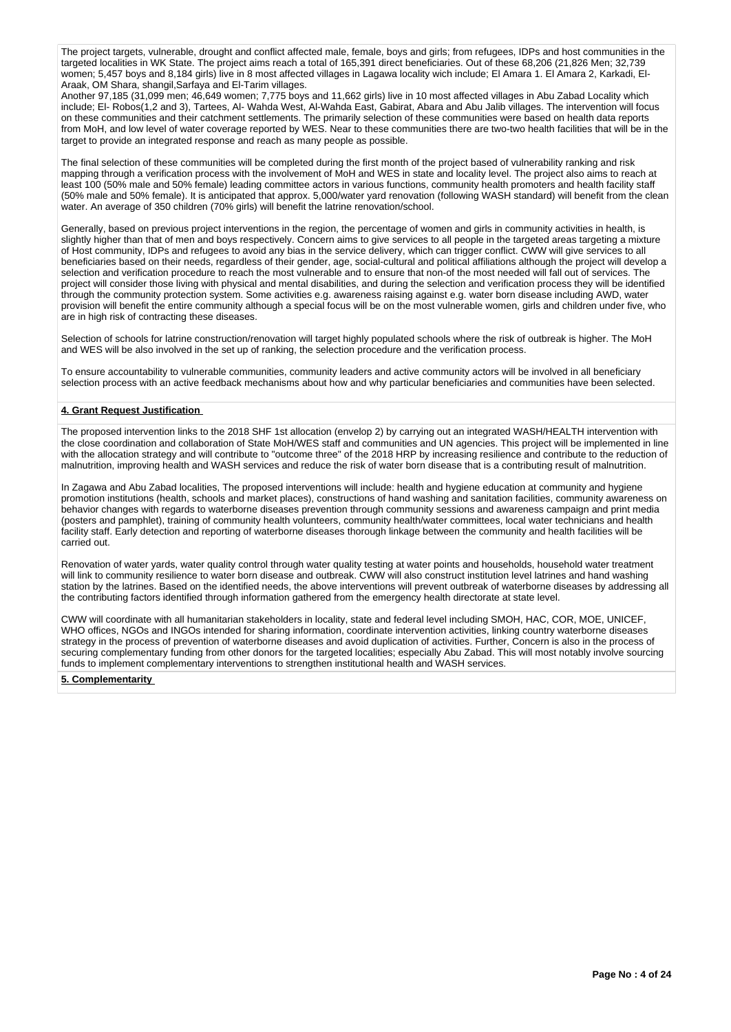The project targets, vulnerable, drought and conflict affected male, female, boys and girls; from refugees, IDPs and host communities in the targeted localities in WK State. The project aims reach a total of 165,391 direct beneficiaries. Out of these 68,206 (21,826 Men; 32,739 women; 5,457 boys and 8,184 girls) live in 8 most affected villages in Lagawa locality wich include; El Amara 1. El Amara 2, Karkadi, El-Araak, OM Shara, shangil,Sarfaya and El-Tarim villages.

Another 97,185 (31,099 men; 46,649 women; 7,775 boys and 11,662 girls) live in 10 most affected villages in Abu Zabad Locality which include; El- Robos(1,2 and 3), Tartees, Al- Wahda West, Al-Wahda East, Gabirat, Abara and Abu Jalib villages. The intervention will focus on these communities and their catchment settlements. The primarily selection of these communities were based on health data reports from MoH, and low level of water coverage reported by WES. Near to these communities there are two-two health facilities that will be in the target to provide an integrated response and reach as many people as possible.

The final selection of these communities will be completed during the first month of the project based of vulnerability ranking and risk mapping through a verification process with the involvement of MoH and WES in state and locality level. The project also aims to reach at least 100 (50% male and 50% female) leading committee actors in various functions, community health promoters and health facility staff (50% male and 50% female). It is anticipated that approx. 5,000/water yard renovation (following WASH standard) will benefit from the clean water. An average of 350 children (70% girls) will benefit the latrine renovation/school.

Generally, based on previous project interventions in the region, the percentage of women and girls in community activities in health, is slightly higher than that of men and boys respectively. Concern aims to give services to all people in the targeted areas targeting a mixture of Host community, IDPs and refugees to avoid any bias in the service delivery, which can trigger conflict. CWW will give services to all beneficiaries based on their needs, regardless of their gender, age, social-cultural and political affiliations although the project will develop a selection and verification procedure to reach the most vulnerable and to ensure that non-of the most needed will fall out of services. The project will consider those living with physical and mental disabilities, and during the selection and verification process they will be identified through the community protection system. Some activities e.g. awareness raising against e.g. water born disease including AWD, water provision will benefit the entire community although a special focus will be on the most vulnerable women, girls and children under five, who are in high risk of contracting these diseases.

Selection of schools for latrine construction/renovation will target highly populated schools where the risk of outbreak is higher. The MoH and WES will be also involved in the set up of ranking, the selection procedure and the verification process.

To ensure accountability to vulnerable communities, community leaders and active community actors will be involved in all beneficiary selection process with an active feedback mechanisms about how and why particular beneficiaries and communities have been selected.

## **4. Grant Request Justification**

The proposed intervention links to the 2018 SHF 1st allocation (envelop 2) by carrying out an integrated WASH/HEALTH intervention with the close coordination and collaboration of State MoH/WES staff and communities and UN agencies. This project will be implemented in line with the allocation strategy and will contribute to "outcome three" of the 2018 HRP by increasing resilience and contribute to the reduction of malnutrition, improving health and WASH services and reduce the risk of water born disease that is a contributing result of malnutrition.

In Zagawa and Abu Zabad localities, The proposed interventions will include: health and hygiene education at community and hygiene promotion institutions (health, schools and market places), constructions of hand washing and sanitation facilities, community awareness on behavior changes with regards to waterborne diseases prevention through community sessions and awareness campaign and print media (posters and pamphlet), training of community health volunteers, community health/water committees, local water technicians and health facility staff. Early detection and reporting of waterborne diseases thorough linkage between the community and health facilities will be carried out.

Renovation of water yards, water quality control through water quality testing at water points and households, household water treatment will link to community resilience to water born disease and outbreak. CWW will also construct institution level latrines and hand washing station by the latrines. Based on the identified needs, the above interventions will prevent outbreak of waterborne diseases by addressing all the contributing factors identified through information gathered from the emergency health directorate at state level.

CWW will coordinate with all humanitarian stakeholders in locality, state and federal level including SMOH, HAC, COR, MOE, UNICEF, WHO offices, NGOs and INGOs intended for sharing information, coordinate intervention activities, linking country waterborne diseases strategy in the process of prevention of waterborne diseases and avoid duplication of activities. Further, Concern is also in the process of securing complementary funding from other donors for the targeted localities; especially Abu Zabad. This will most notably involve sourcing funds to implement complementary interventions to strengthen institutional health and WASH services.

**5. Complementarity**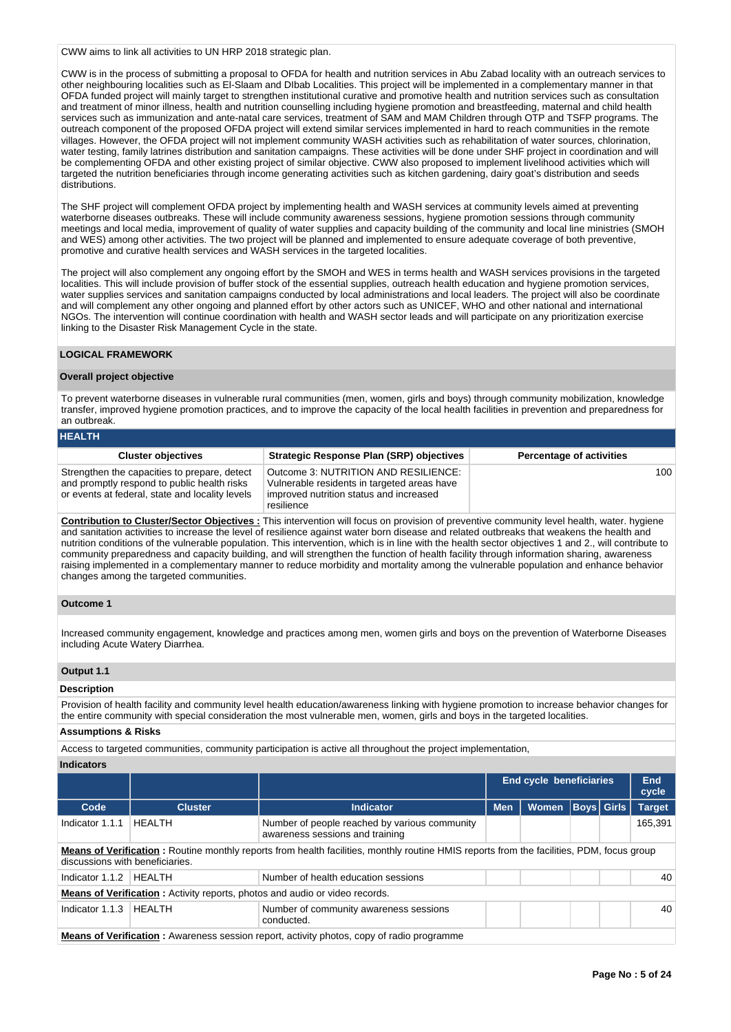CWW aims to link all activities to UN HRP 2018 strategic plan.

CWW is in the process of submitting a proposal to OFDA for health and nutrition services in Abu Zabad locality with an outreach services to other neighbouring localities such as El-Slaam and DIbab Localities. This project will be implemented in a complementary manner in that OFDA funded project will mainly target to strengthen institutional curative and promotive health and nutrition services such as consultation and treatment of minor illness, health and nutrition counselling including hygiene promotion and breastfeeding, maternal and child health services such as immunization and ante-natal care services, treatment of SAM and MAM Children through OTP and TSFP programs. The outreach component of the proposed OFDA project will extend similar services implemented in hard to reach communities in the remote villages. However, the OFDA project will not implement community WASH activities such as rehabilitation of water sources, chlorination, water testing, family latrines distribution and sanitation campaigns. These activities will be done under SHF project in coordination and will be complementing OFDA and other existing project of similar objective. CWW also proposed to implement livelihood activities which will targeted the nutrition beneficiaries through income generating activities such as kitchen gardening, dairy goat's distribution and seeds distributions.

The SHF project will complement OFDA project by implementing health and WASH services at community levels aimed at preventing waterborne diseases outbreaks. These will include community awareness sessions, hygiene promotion sessions through community meetings and local media, improvement of quality of water supplies and capacity building of the community and local line ministries (SMOH and WES) among other activities. The two project will be planned and implemented to ensure adequate coverage of both preventive, promotive and curative health services and WASH services in the targeted localities.

The project will also complement any ongoing effort by the SMOH and WES in terms health and WASH services provisions in the targeted localities. This will include provision of buffer stock of the essential supplies, outreach health education and hygiene promotion services, water supplies services and sanitation campaigns conducted by local administrations and local leaders. The project will also be coordinate and will complement any other ongoing and planned effort by other actors such as UNICEF, WHO and other national and international NGOs. The intervention will continue coordination with health and WASH sector leads and will participate on any prioritization exercise linking to the Disaster Risk Management Cycle in the state.

### **LOGICAL FRAMEWORK**

#### **Overall project objective**

To prevent waterborne diseases in vulnerable rural communities (men, women, girls and boys) through community mobilization, knowledge transfer, improved hygiene promotion practices, and to improve the capacity of the local health facilities in prevention and preparedness for an outbreak.

| <b>HEALTH</b>                                                                                                                                  |                                                                                                                                              |                                 |
|------------------------------------------------------------------------------------------------------------------------------------------------|----------------------------------------------------------------------------------------------------------------------------------------------|---------------------------------|
| <b>Cluster objectives</b>                                                                                                                      | Strategic Response Plan (SRP) objectives                                                                                                     | <b>Percentage of activities</b> |
| Strengthen the capacities to prepare, detect<br>and promptly respond to public health risks<br>or events at federal, state and locality levels | Outcome 3: NUTRITION AND RESILIENCE:<br>Vulnerable residents in targeted areas have<br>improved nutrition status and increased<br>resilience | 100                             |

**Contribution to Cluster/Sector Objectives :** This intervention will focus on provision of preventive community level health, water. hygiene and sanitation activities to increase the level of resilience against water born disease and related outbreaks that weakens the health and nutrition conditions of the vulnerable population. This intervention, which is in line with the health sector objectives 1 and 2., will contribute to community preparedness and capacity building, and will strengthen the function of health facility through information sharing, awareness raising implemented in a complementary manner to reduce morbidity and mortality among the vulnerable population and enhance behavior changes among the targeted communities.

#### **Outcome 1**

Increased community engagement, knowledge and practices among men, women girls and boys on the prevention of Waterborne Diseases including Acute Watery Diarrhea.

### **Output 1.1**

## **Description**

Provision of health facility and community level health education/awareness linking with hygiene promotion to increase behavior changes for the entire community with special consideration the most vulnerable men, women, girls and boys in the targeted localities.

## **Assumptions & Risks**

Access to targeted communities, community participation is active all throughout the project implementation,

**Indicators**

|                                                                                                                                                                              |                                                                                                  |                                                                                    | <b>End cycle beneficiaries</b> |              |             | End<br>cycle |               |  |
|------------------------------------------------------------------------------------------------------------------------------------------------------------------------------|--------------------------------------------------------------------------------------------------|------------------------------------------------------------------------------------|--------------------------------|--------------|-------------|--------------|---------------|--|
| Code                                                                                                                                                                         | <b>Cluster</b>                                                                                   | <b>Indicator</b>                                                                   | <b>Men</b>                     | <b>Women</b> | Boys  Girls |              | <b>Target</b> |  |
| Indicator 1.1.1                                                                                                                                                              | HEALTH                                                                                           | Number of people reached by various community<br>awareness sessions and training   |                                |              |             |              | 165,391       |  |
| Means of Verification: Routine monthly reports from health facilities, monthly routine HMIS reports from the facilities, PDM, focus group<br>discussions with beneficiaries. |                                                                                                  |                                                                                    |                                |              |             |              |               |  |
| Indicator $1.1.2$                                                                                                                                                            | <b>HFAITH</b>                                                                                    | Number of health education sessions                                                |                                |              |             |              | 40            |  |
|                                                                                                                                                                              |                                                                                                  | <b>Means of Verification:</b> Activity reports, photos and audio or video records. |                                |              |             |              |               |  |
| Indicator 1.1.3                                                                                                                                                              | HEALTH                                                                                           | Number of community awareness sessions<br>conducted.                               |                                |              |             |              | 40            |  |
|                                                                                                                                                                              | <b>Means of Verification:</b> Awareness session report, activity photos, copy of radio programme |                                                                                    |                                |              |             |              |               |  |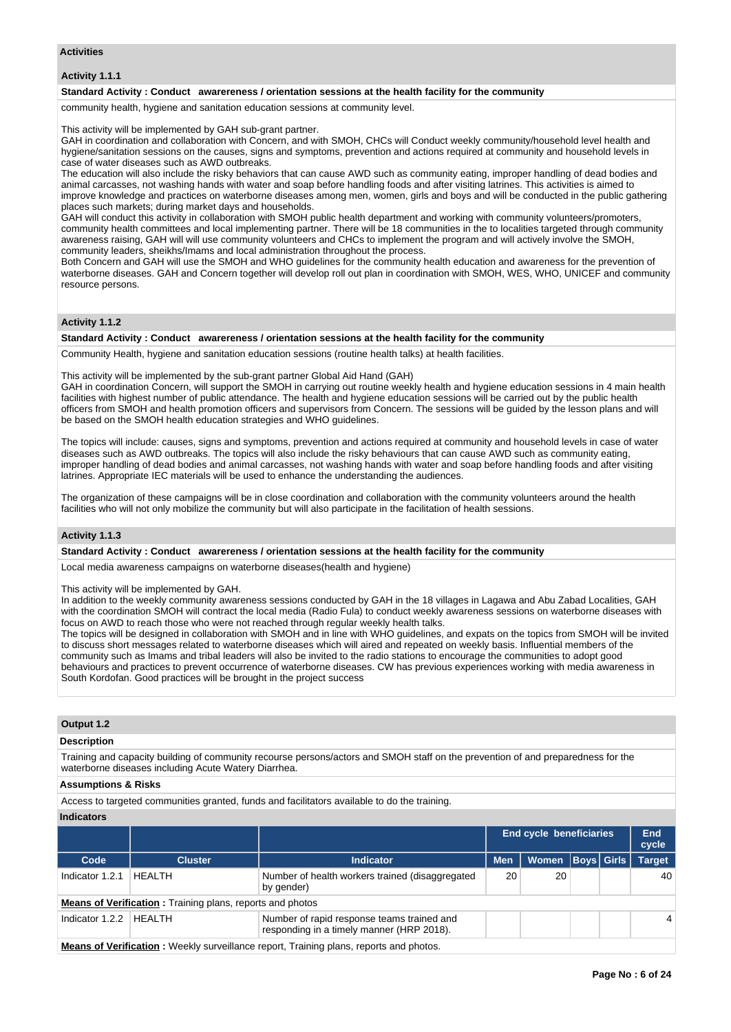### **Activities**

### **Activity 1.1.1**

#### **Standard Activity : Conduct awarereness / orientation sessions at the health facility for the community**

community health, hygiene and sanitation education sessions at community level.

This activity will be implemented by GAH sub-grant partner.

GAH in coordination and collaboration with Concern, and with SMOH, CHCs will Conduct weekly community/household level health and hygiene/sanitation sessions on the causes, signs and symptoms, prevention and actions required at community and household levels in case of water diseases such as AWD outbreaks.

The education will also include the risky behaviors that can cause AWD such as community eating, improper handling of dead bodies and animal carcasses, not washing hands with water and soap before handling foods and after visiting latrines. This activities is aimed to improve knowledge and practices on waterborne diseases among men, women, girls and boys and will be conducted in the public gathering places such markets; during market days and households.

GAH will conduct this activity in collaboration with SMOH public health department and working with community volunteers/promoters, community health committees and local implementing partner. There will be 18 communities in the to localities targeted through community awareness raising, GAH will will use community volunteers and CHCs to implement the program and will actively involve the SMOH, community leaders, sheikhs/Imams and local administration throughout the process.

Both Concern and GAH will use the SMOH and WHO guidelines for the community health education and awareness for the prevention of waterborne diseases. GAH and Concern together will develop roll out plan in coordination with SMOH, WES, WHO, UNICEF and community resource persons.

## **Activity 1.1.2**

## **Standard Activity : Conduct awarereness / orientation sessions at the health facility for the community**

Community Health, hygiene and sanitation education sessions (routine health talks) at health facilities.

This activity will be implemented by the sub-grant partner Global Aid Hand (GAH)

GAH in coordination Concern, will support the SMOH in carrying out routine weekly health and hygiene education sessions in 4 main health facilities with highest number of public attendance. The health and hygiene education sessions will be carried out by the public health officers from SMOH and health promotion officers and supervisors from Concern. The sessions will be guided by the lesson plans and will be based on the SMOH health education strategies and WHO guidelines.

The topics will include: causes, signs and symptoms, prevention and actions required at community and household levels in case of water diseases such as AWD outbreaks. The topics will also include the risky behaviours that can cause AWD such as community eating, improper handling of dead bodies and animal carcasses, not washing hands with water and soap before handling foods and after visiting latrines. Appropriate IEC materials will be used to enhance the understanding the audiences.

The organization of these campaigns will be in close coordination and collaboration with the community volunteers around the health facilities who will not only mobilize the community but will also participate in the facilitation of health sessions.

### **Activity 1.1.3**

#### **Standard Activity : Conduct awarereness / orientation sessions at the health facility for the community**

Local media awareness campaigns on waterborne diseases(health and hygiene)

This activity will be implemented by GAH.

In addition to the weekly community awareness sessions conducted by GAH in the 18 villages in Lagawa and Abu Zabad Localities, GAH with the coordination SMOH will contract the local media (Radio Fula) to conduct weekly awareness sessions on waterborne diseases with focus on AWD to reach those who were not reached through regular weekly health talks.

The topics will be designed in collaboration with SMOH and in line with WHO guidelines, and expats on the topics from SMOH will be invited to discuss short messages related to waterborne diseases which will aired and repeated on weekly basis. Influential members of the community such as Imams and tribal leaders will also be invited to the radio stations to encourage the communities to adopt good behaviours and practices to prevent occurrence of waterborne diseases. CW has previous experiences working with media awareness in South Kordofan. Good practices will be brought in the project success

## **Output 1.2**

#### **Description**

Training and capacity building of community recourse persons/actors and SMOH staff on the prevention of and preparedness for the waterborne diseases including Acute Watery Diarrhea.

#### **Assumptions & Risks**

Access to targeted communities granted, funds and facilitators available to do the training.

#### **Indicators**

|                   |                                                                  |                                                                                         | <b>End cycle beneficiaries</b> |                      |  | End<br>cycle |                |
|-------------------|------------------------------------------------------------------|-----------------------------------------------------------------------------------------|--------------------------------|----------------------|--|--------------|----------------|
| Code              | <b>Cluster</b>                                                   | <b>Indicator</b>                                                                        | <b>Men</b>                     | Women   Boys   Girls |  |              | <b>Target</b>  |
| Indicator 1.2.1   | HEALTH                                                           | Number of health workers trained (disaggregated<br>by gender)                           | 20                             | 20                   |  |              | 40             |
|                   | <b>Means of Verification:</b> Training plans, reports and photos |                                                                                         |                                |                      |  |              |                |
| Indicator $1.2.2$ | HEALTH                                                           | Number of rapid response teams trained and<br>responding in a timely manner (HRP 2018). |                                |                      |  |              | $\overline{4}$ |
| --<br>.           | .                                                                |                                                                                         |                                |                      |  |              |                |

**Means of Verification :** Weekly surveillance report, Training plans, reports and photos.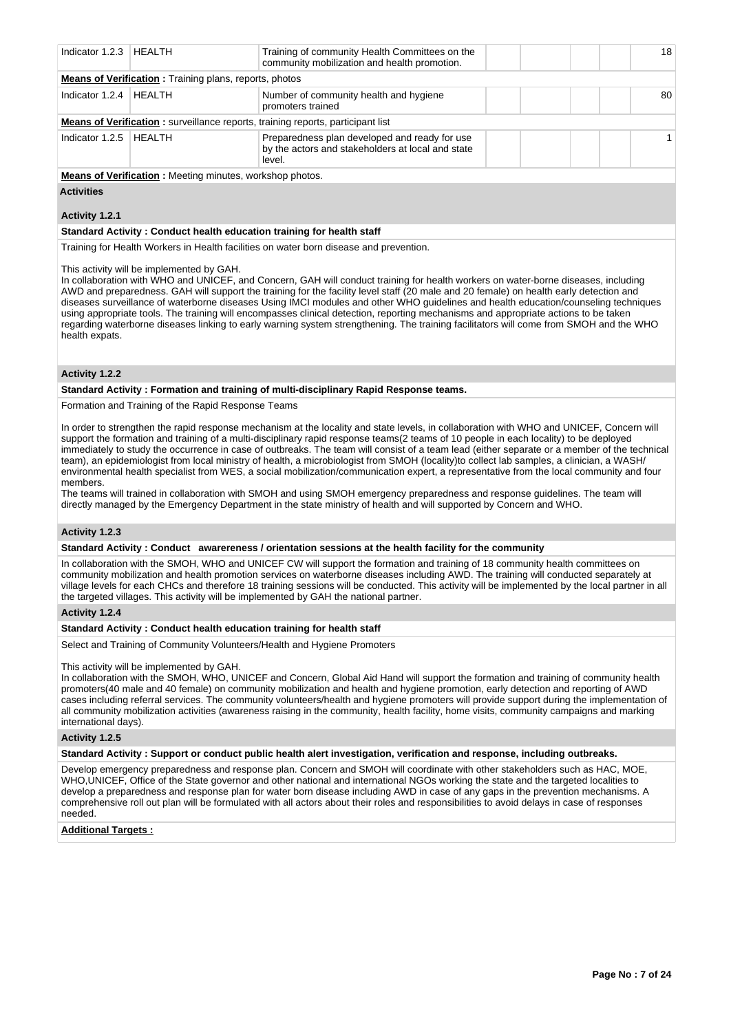| Indicator 1.2.3   HEALTH                                       |        | Training of community Health Committees on the<br>community mobilization and health promotion.               |  |  |  |  | 18 |
|----------------------------------------------------------------|--------|--------------------------------------------------------------------------------------------------------------|--|--|--|--|----|
| <b>Means of Verification</b> : Training plans, reports, photos |        |                                                                                                              |  |  |  |  |    |
| Indicator 1.2.4                                                | HEALTH | Number of community health and hygiene<br>promoters trained                                                  |  |  |  |  | 80 |
|                                                                |        | <b>Means of Verification:</b> surveillance reports, training reports, participant list                       |  |  |  |  |    |
| Indicator 1.2.5                                                | HFAITH | Preparedness plan developed and ready for use<br>by the actors and stakeholders at local and state<br>level. |  |  |  |  |    |
|                                                                |        |                                                                                                              |  |  |  |  |    |

**Means of Verification :** Meeting minutes, workshop photos.

**Activities**

## **Activity 1.2.1**

### **Standard Activity : Conduct health education training for health staff**

Training for Health Workers in Health facilities on water born disease and prevention.

This activity will be implemented by GAH.

In collaboration with WHO and UNICEF, and Concern, GAH will conduct training for health workers on water-borne diseases, including AWD and preparedness. GAH will support the training for the facility level staff (20 male and 20 female) on health early detection and diseases surveillance of waterborne diseases Using IMCI modules and other WHO guidelines and health education/counseling techniques using appropriate tools. The training will encompasses clinical detection, reporting mechanisms and appropriate actions to be taken regarding waterborne diseases linking to early warning system strengthening. The training facilitators will come from SMOH and the WHO health expats.

## **Activity 1.2.2**

### **Standard Activity : Formation and training of multi-disciplinary Rapid Response teams.**

Formation and Training of the Rapid Response Teams

In order to strengthen the rapid response mechanism at the locality and state levels, in collaboration with WHO and UNICEF, Concern will support the formation and training of a multi-disciplinary rapid response teams(2 teams of 10 people in each locality) to be deployed immediately to study the occurrence in case of outbreaks. The team will consist of a team lead (either separate or a member of the technical team), an epidemiologist from local ministry of health, a microbiologist from SMOH (locality)to collect lab samples, a clinician, a WASH/ environmental health specialist from WES, a social mobilization/communication expert, a representative from the local community and four members.

The teams will trained in collaboration with SMOH and using SMOH emergency preparedness and response guidelines. The team will directly managed by the Emergency Department in the state ministry of health and will supported by Concern and WHO.

## **Activity 1.2.3**

## **Standard Activity : Conduct awarereness / orientation sessions at the health facility for the community**

In collaboration with the SMOH, WHO and UNICEF CW will support the formation and training of 18 community health committees on community mobilization and health promotion services on waterborne diseases including AWD. The training will conducted separately at village levels for each CHCs and therefore 18 training sessions will be conducted. This activity will be implemented by the local partner in all the targeted villages. This activity will be implemented by GAH the national partner.

### **Activity 1.2.4**

### **Standard Activity : Conduct health education training for health staff**

Select and Training of Community Volunteers/Health and Hygiene Promoters

### This activity will be implemented by GAH.

In collaboration with the SMOH, WHO, UNICEF and Concern, Global Aid Hand will support the formation and training of community health promoters(40 male and 40 female) on community mobilization and health and hygiene promotion, early detection and reporting of AWD cases including referral services. The community volunteers/health and hygiene promoters will provide support during the implementation of all community mobilization activities (awareness raising in the community, health facility, home visits, community campaigns and marking international days).

### **Activity 1.2.5**

**Standard Activity : Support or conduct public health alert investigation, verification and response, including outbreaks.**

Develop emergency preparedness and response plan. Concern and SMOH will coordinate with other stakeholders such as HAC, MOE, WHO,UNICEF, Office of the State governor and other national and international NGOs working the state and the targeted localities to develop a preparedness and response plan for water born disease including AWD in case of any gaps in the prevention mechanisms. A comprehensive roll out plan will be formulated with all actors about their roles and responsibilities to avoid delays in case of responses needed.

## **Additional Targets :**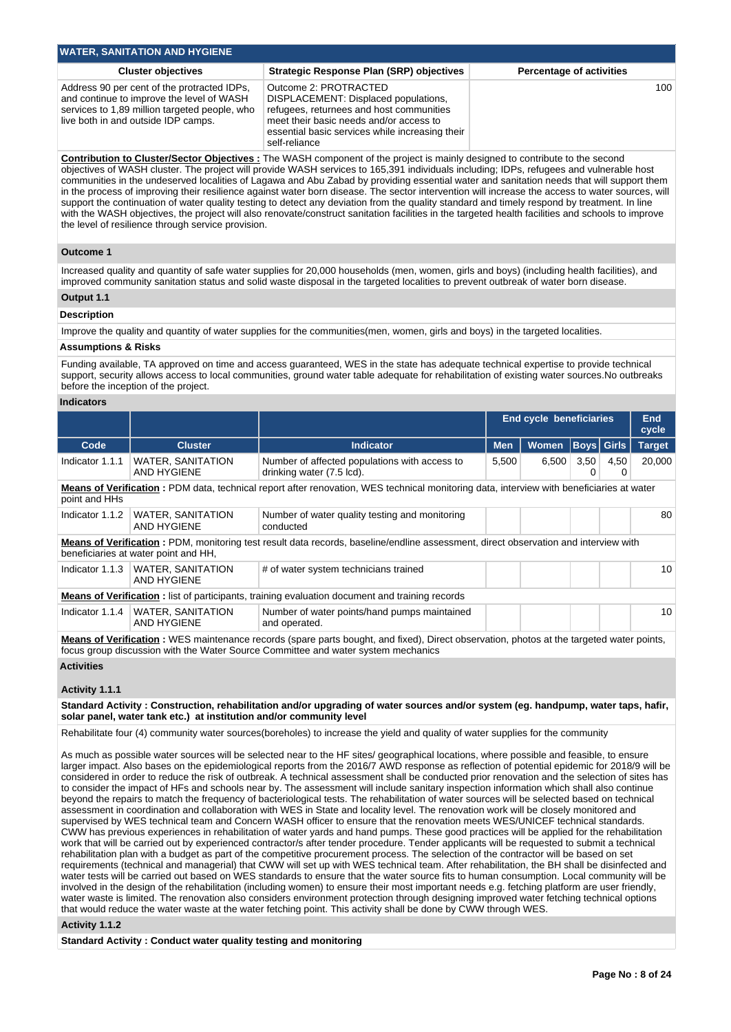| <b>WATER, SANITATION AND HYGIENE</b>                                                                                                                                             |                                                                                                                                                                                                                          |                                 |  |  |  |  |
|----------------------------------------------------------------------------------------------------------------------------------------------------------------------------------|--------------------------------------------------------------------------------------------------------------------------------------------------------------------------------------------------------------------------|---------------------------------|--|--|--|--|
| <b>Cluster objectives</b>                                                                                                                                                        | <b>Strategic Response Plan (SRP) objectives</b>                                                                                                                                                                          | <b>Percentage of activities</b> |  |  |  |  |
| Address 90 per cent of the protracted IDPs,<br>and continue to improve the level of WASH<br>services to 1,89 million targeted people, who<br>live both in and outside IDP camps. | Outcome 2: PROTRACTED<br>DISPLACEMENT: Displaced populations,<br>refugees, returnees and host communities<br>meet their basic needs and/or access to<br>essential basic services while increasing their<br>self-reliance | 100                             |  |  |  |  |

**Contribution to Cluster/Sector Objectives :** The WASH component of the project is mainly designed to contribute to the second objectives of WASH cluster. The project will provide WASH services to 165,391 individuals including; IDPs, refugees and vulnerable host communities in the undeserved localities of Lagawa and Abu Zabad by providing essential water and sanitation needs that will support them in the process of improving their resilience against water born disease. The sector intervention will increase the access to water sources, will support the continuation of water quality testing to detect any deviation from the quality standard and timely respond by treatment. In line with the WASH objectives, the project will also renovate/construct sanitation facilities in the targeted health facilities and schools to improve the level of resilience through service provision.

### **Outcome 1**

Increased quality and quantity of safe water supplies for 20,000 households (men, women, girls and boys) (including health facilities), and improved community sanitation status and solid waste disposal in the targeted localities to prevent outbreak of water born disease.

#### **Output 1.1**

### **Description**

Improve the quality and quantity of water supplies for the communities(men, women, girls and boys) in the targeted localities.

#### **Assumptions & Risks**

Funding available, TA approved on time and access guaranteed, WES in the state has adequate technical expertise to provide technical support, security allows access to local communities, ground water table adequate for rehabilitation of existing water sources.No outbreaks before the inception of the project.

#### **Indicators**

|                                                                                                                                                                             |                                                                                                                                          |                                                                            | <b>End cycle beneficiaries</b> |              |             | <b>End</b><br>cycle |               |  |
|-----------------------------------------------------------------------------------------------------------------------------------------------------------------------------|------------------------------------------------------------------------------------------------------------------------------------------|----------------------------------------------------------------------------|--------------------------------|--------------|-------------|---------------------|---------------|--|
| Code                                                                                                                                                                        | <b>Cluster</b>                                                                                                                           | <b>Indicator</b>                                                           | <b>Men</b>                     | <b>Women</b> | Boys  Girls |                     | <b>Target</b> |  |
| Indicator 1.1.1                                                                                                                                                             | <b>WATER, SANITATION</b><br>AND HYGIENE                                                                                                  | Number of affected populations with access to<br>drinking water (7.5 lcd). | 5,500                          | 6,500        | 3,50        | 4,50                | 20.000        |  |
| Means of Verification: PDM data, technical report after renovation, WES technical monitoring data, interview with beneficiaries at water<br>point and HHs                   |                                                                                                                                          |                                                                            |                                |              |             |                     |               |  |
| Indicator 1.1.2                                                                                                                                                             | <b>WATER, SANITATION</b><br>AND HYGIENE                                                                                                  | Number of water quality testing and monitoring<br>conducted                |                                |              |             |                     | 80            |  |
| Means of Verification: PDM, monitoring test result data records, baseline/endline assessment, direct observation and interview with<br>beneficiaries at water point and HH, |                                                                                                                                          |                                                                            |                                |              |             |                     |               |  |
| Indicator 1.1.3                                                                                                                                                             | <b>WATER, SANITATION</b><br>AND HYGIENE                                                                                                  | # of water system technicians trained                                      |                                |              |             |                     | 10            |  |
| <b>Means of Verification:</b> list of participants, training evaluation document and training records                                                                       |                                                                                                                                          |                                                                            |                                |              |             |                     |               |  |
| Indicator 1.1.4                                                                                                                                                             | <b>WATER, SANITATION</b><br><b>AND HYGIENE</b>                                                                                           | Number of water points/hand pumps maintained<br>and operated.              |                                |              |             |                     | 10            |  |
|                                                                                                                                                                             | Means of Verification . WES maintenance records (spare parts bought, and fived). Direct observation, photos at the targeted water points |                                                                            |                                |              |             |                     |               |  |

**Means of Verification :** WES maintenance records (spare parts bought, and fixed), Direct observation, photos at the targeted water points, focus group discussion with the Water Source Committee and water system mechanics

## **Activities**

## **Activity 1.1.1**

**Standard Activity : Construction, rehabilitation and/or upgrading of water sources and/or system (eg. handpump, water taps, hafir, solar panel, water tank etc.) at institution and/or community level**

Rehabilitate four (4) community water sources(boreholes) to increase the yield and quality of water supplies for the community

As much as possible water sources will be selected near to the HF sites/ geographical locations, where possible and feasible, to ensure larger impact. Also bases on the epidemiological reports from the 2016/7 AWD response as reflection of potential epidemic for 2018/9 will be considered in order to reduce the risk of outbreak. A technical assessment shall be conducted prior renovation and the selection of sites has to consider the impact of HFs and schools near by. The assessment will include sanitary inspection information which shall also continue beyond the repairs to match the frequency of bacteriological tests. The rehabilitation of water sources will be selected based on technical assessment in coordination and collaboration with WES in State and locality level. The renovation work will be closely monitored and supervised by WES technical team and Concern WASH officer to ensure that the renovation meets WES/UNICEF technical standards. CWW has previous experiences in rehabilitation of water yards and hand pumps. These good practices will be applied for the rehabilitation work that will be carried out by experienced contractor/s after tender procedure. Tender applicants will be requested to submit a technical rehabilitation plan with a budget as part of the competitive procurement process. The selection of the contractor will be based on set requirements (technical and managerial) that CWW will set up with WES technical team. After rehabilitation, the BH shall be disinfected and water tests will be carried out based on WES standards to ensure that the water source fits to human consumption. Local community will be involved in the design of the rehabilitation (including women) to ensure their most important needs e.g. fetching platform are user friendly, water waste is limited. The renovation also considers environment protection through designing improved water fetching technical options that would reduce the water waste at the water fetching point. This activity shall be done by CWW through WES.

### **Activity 1.1.2**

**Standard Activity : Conduct water quality testing and monitoring**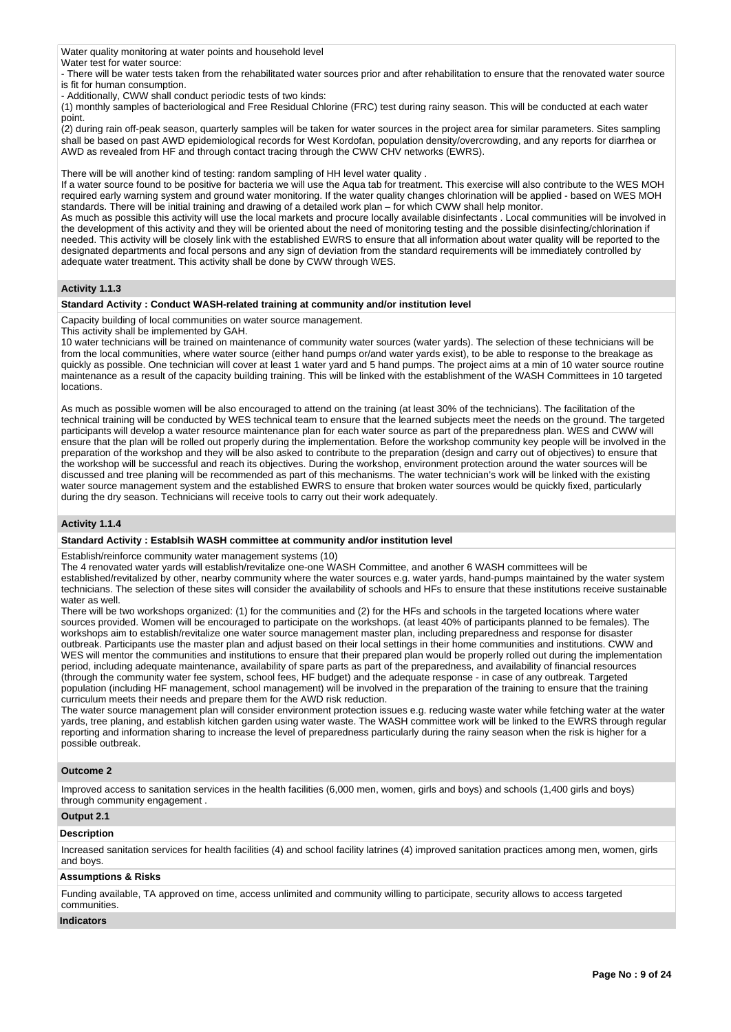Water quality monitoring at water points and household level Water test for water source:

- There will be water tests taken from the rehabilitated water sources prior and after rehabilitation to ensure that the renovated water source is fit for human consumption.

- Additionally, CWW shall conduct periodic tests of two kinds:

(1) monthly samples of bacteriological and Free Residual Chlorine (FRC) test during rainy season. This will be conducted at each water point.

(2) during rain off-peak season, quarterly samples will be taken for water sources in the project area for similar parameters. Sites sampling shall be based on past AWD epidemiological records for West Kordofan, population density/overcrowding, and any reports for diarrhea or AWD as revealed from HF and through contact tracing through the CWW CHV networks (EWRS).

There will be will another kind of testing: random sampling of HH level water quality .

If a water source found to be positive for bacteria we will use the Aqua tab for treatment. This exercise will also contribute to the WES MOH required early warning system and ground water monitoring. If the water quality changes chlorination will be applied - based on WES MOH standards. There will be initial training and drawing of a detailed work plan – for which CWW shall help monitor.

As much as possible this activity will use the local markets and procure locally available disinfectants . Local communities will be involved in the development of this activity and they will be oriented about the need of monitoring testing and the possible disinfecting/chlorination if needed. This activity will be closely link with the established EWRS to ensure that all information about water quality will be reported to the designated departments and focal persons and any sign of deviation from the standard requirements will be immediately controlled by adequate water treatment. This activity shall be done by CWW through WES.

## **Activity 1.1.3**

## **Standard Activity : Conduct WASH-related training at community and/or institution level**

Capacity building of local communities on water source management.

This activity shall be implemented by GAH.

10 water technicians will be trained on maintenance of community water sources (water yards). The selection of these technicians will be from the local communities, where water source (either hand pumps or/and water yards exist), to be able to response to the breakage as quickly as possible. One technician will cover at least 1 water yard and 5 hand pumps. The project aims at a min of 10 water source routine maintenance as a result of the capacity building training. This will be linked with the establishment of the WASH Committees in 10 targeted locations.

As much as possible women will be also encouraged to attend on the training (at least 30% of the technicians). The facilitation of the technical training will be conducted by WES technical team to ensure that the learned subjects meet the needs on the ground. The targeted participants will develop a water resource maintenance plan for each water source as part of the preparedness plan. WES and CWW will ensure that the plan will be rolled out properly during the implementation. Before the workshop community key people will be involved in the preparation of the workshop and they will be also asked to contribute to the preparation (design and carry out of objectives) to ensure that the workshop will be successful and reach its objectives. During the workshop, environment protection around the water sources will be discussed and tree planing will be recommended as part of this mechanisms. The water technician's work will be linked with the existing water source management system and the established EWRS to ensure that broken water sources would be quickly fixed, particularly during the dry season. Technicians will receive tools to carry out their work adequately.

## **Activity 1.1.4**

### **Standard Activity : Establsih WASH committee at community and/or institution level**

Establish/reinforce community water management systems (10)

The 4 renovated water yards will establish/revitalize one-one WASH Committee, and another 6 WASH committees will be established/revitalized by other, nearby community where the water sources e.g. water yards, hand-pumps maintained by the water system technicians. The selection of these sites will consider the availability of schools and HFs to ensure that these institutions receive sustainable water as well.

There will be two workshops organized: (1) for the communities and (2) for the HFs and schools in the targeted locations where water sources provided. Women will be encouraged to participate on the workshops. (at least 40% of participants planned to be females). The workshops aim to establish/revitalize one water source management master plan, including preparedness and response for disaster outbreak. Participants use the master plan and adjust based on their local settings in their home communities and institutions. CWW and WES will mentor the communities and institutions to ensure that their prepared plan would be properly rolled out during the implementation period, including adequate maintenance, availability of spare parts as part of the preparedness, and availability of financial resources (through the community water fee system, school fees, HF budget) and the adequate response - in case of any outbreak. Targeted population (including HF management, school management) will be involved in the preparation of the training to ensure that the training curriculum meets their needs and prepare them for the AWD risk reduction.

The water source management plan will consider environment protection issues e.g. reducing waste water while fetching water at the water yards, tree planing, and establish kitchen garden using water waste. The WASH committee work will be linked to the EWRS through regular reporting and information sharing to increase the level of preparedness particularly during the rainy season when the risk is higher for a possible outbreak.

### **Outcome 2**

Improved access to sanitation services in the health facilities (6,000 men, women, girls and boys) and schools (1,400 girls and boys) through community engagement .

# **Output 2.1**

## **Description**

Increased sanitation services for health facilities (4) and school facility latrines (4) improved sanitation practices among men, women, girls and boys.

## **Assumptions & Risks**

Funding available, TA approved on time, access unlimited and community willing to participate, security allows to access targeted communities.

### **Indicators**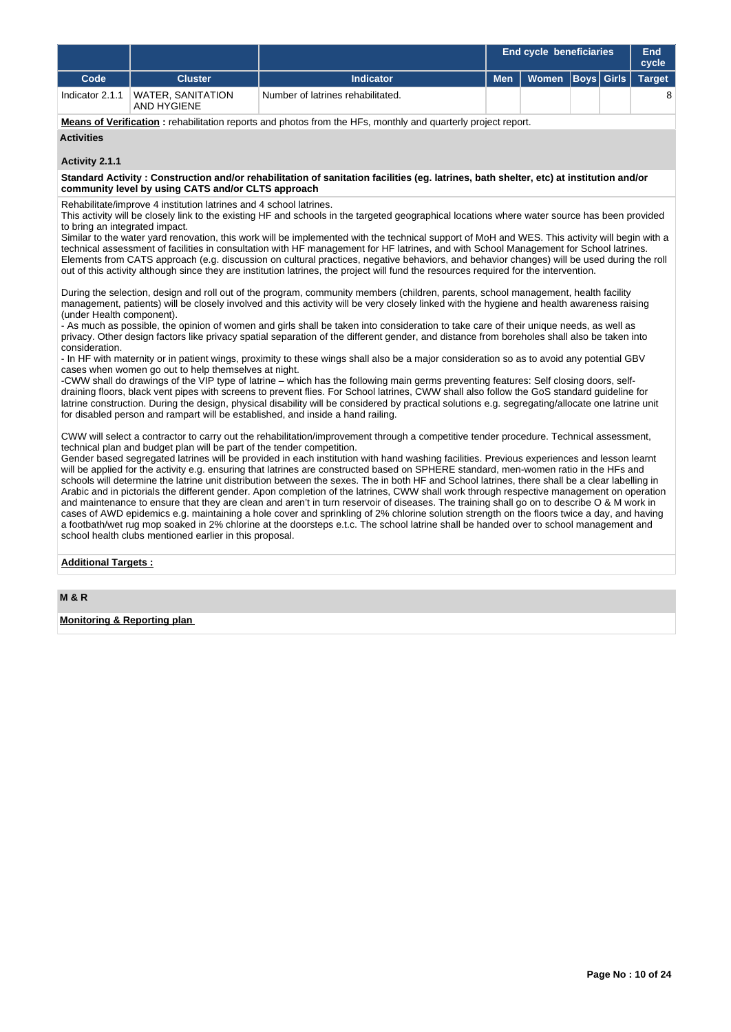|                 |                                  |                                   | <b>End cycle beneficiaries</b> | End<br>cycle         |  |               |
|-----------------|----------------------------------|-----------------------------------|--------------------------------|----------------------|--|---------------|
| Code            | <b>Cluster</b>                   | Indicator                         | <b>Men</b>                     | Women   Boys   Girls |  | <b>Target</b> |
| Indicator 2.1.1 | WATER, SANITATION<br>AND HYGIENE | Number of latrines rehabilitated. |                                |                      |  |               |

**Means of Verification :** rehabilitation reports and photos from the HFs, monthly and quarterly project report.

#### **Activities**

#### **Activity 2.1.1**

**Standard Activity : Construction and/or rehabilitation of sanitation facilities (eg. latrines, bath shelter, etc) at institution and/or community level by using CATS and/or CLTS approach**

Rehabilitate/improve 4 institution latrines and 4 school latrines.

This activity will be closely link to the existing HF and schools in the targeted geographical locations where water source has been provided to bring an integrated impact.

Similar to the water yard renovation, this work will be implemented with the technical support of MoH and WES. This activity will begin with a technical assessment of facilities in consultation with HF management for HF latrines, and with School Management for School latrines. Elements from CATS approach (e.g. discussion on cultural practices, negative behaviors, and behavior changes) will be used during the roll out of this activity although since they are institution latrines, the project will fund the resources required for the intervention.

During the selection, design and roll out of the program, community members (children, parents, school management, health facility management, patients) will be closely involved and this activity will be very closely linked with the hygiene and health awareness raising (under Health component).

- As much as possible, the opinion of women and girls shall be taken into consideration to take care of their unique needs, as well as privacy. Other design factors like privacy spatial separation of the different gender, and distance from boreholes shall also be taken into consideration.

- In HF with maternity or in patient wings, proximity to these wings shall also be a major consideration so as to avoid any potential GBV cases when women go out to help themselves at night.

-CWW shall do drawings of the VIP type of latrine – which has the following main germs preventing features: Self closing doors, selfdraining floors, black vent pipes with screens to prevent flies. For School latrines, CWW shall also follow the GoS standard guideline for latrine construction. During the design, physical disability will be considered by practical solutions e.g. segregating/allocate one latrine unit for disabled person and rampart will be established, and inside a hand railing.

CWW will select a contractor to carry out the rehabilitation/improvement through a competitive tender procedure. Technical assessment, technical plan and budget plan will be part of the tender competition.

Gender based segregated latrines will be provided in each institution with hand washing facilities. Previous experiences and lesson learnt will be applied for the activity e.g. ensuring that latrines are constructed based on SPHERE standard, men-women ratio in the HFs and schools will determine the latrine unit distribution between the sexes. The in both HF and School latrines, there shall be a clear labelling in Arabic and in pictorials the different gender. Apon completion of the latrines, CWW shall work through respective management on operation and maintenance to ensure that they are clean and aren't in turn reservoir of diseases. The training shall go on to describe O & M work in cases of AWD epidemics e.g. maintaining a hole cover and sprinkling of 2% chlorine solution strength on the floors twice a day, and having a footbath/wet rug mop soaked in 2% chlorine at the doorsteps e.t.c. The school latrine shall be handed over to school management and school health clubs mentioned earlier in this proposal.

## **Additional Targets :**

**Monitoring & Reporting plan**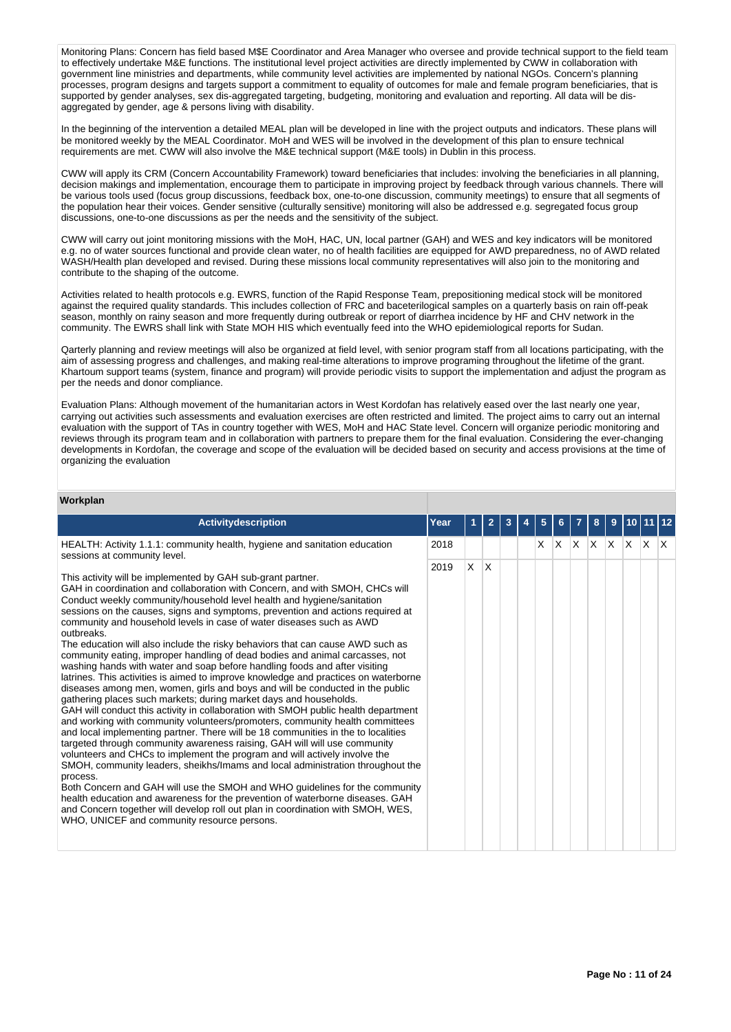Monitoring Plans: Concern has field based M\$E Coordinator and Area Manager who oversee and provide technical support to the field team to effectively undertake M&E functions. The institutional level project activities are directly implemented by CWW in collaboration with government line ministries and departments, while community level activities are implemented by national NGOs. Concern's planning processes, program designs and targets support a commitment to equality of outcomes for male and female program beneficiaries, that is supported by gender analyses, sex dis-aggregated targeting, budgeting, monitoring and evaluation and reporting. All data will be disaggregated by gender, age & persons living with disability.

In the beginning of the intervention a detailed MEAL plan will be developed in line with the project outputs and indicators. These plans will be monitored weekly by the MEAL Coordinator. MoH and WES will be involved in the development of this plan to ensure technical requirements are met. CWW will also involve the M&E technical support (M&E tools) in Dublin in this process.

CWW will apply its CRM (Concern Accountability Framework) toward beneficiaries that includes: involving the beneficiaries in all planning, decision makings and implementation, encourage them to participate in improving project by feedback through various channels. There will be various tools used (focus group discussions, feedback box, one-to-one discussion, community meetings) to ensure that all segments of the population hear their voices. Gender sensitive (culturally sensitive) monitoring will also be addressed e.g. segregated focus group discussions, one-to-one discussions as per the needs and the sensitivity of the subject.

CWW will carry out joint monitoring missions with the MoH, HAC, UN, local partner (GAH) and WES and key indicators will be monitored e.g. no of water sources functional and provide clean water, no of health facilities are equipped for AWD preparedness, no of AWD related WASH/Health plan developed and revised. During these missions local community representatives will also join to the monitoring and contribute to the shaping of the outcome.

Activities related to health protocols e.g. EWRS, function of the Rapid Response Team, prepositioning medical stock will be monitored against the required quality standards. This includes collection of FRC and baceterilogical samples on a quarterly basis on rain off-peak season, monthly on rainy season and more frequently during outbreak or report of diarrhea incidence by HF and CHV network in the community. The EWRS shall link with State MOH HIS which eventually feed into the WHO epidemiological reports for Sudan.

Qarterly planning and review meetings will also be organized at field level, with senior program staff from all locations participating, with the aim of assessing progress and challenges, and making real-time alterations to improve programing throughout the lifetime of the grant. Khartoum support teams (system, finance and program) will provide periodic visits to support the implementation and adjust the program as per the needs and donor compliance.

Evaluation Plans: Although movement of the humanitarian actors in West Kordofan has relatively eased over the last nearly one year, carrying out activities such assessments and evaluation exercises are often restricted and limited. The project aims to carry out an internal evaluation with the support of TAs in country together with WES, MoH and HAC State level. Concern will organize periodic monitoring and reviews through its program team and in collaboration with partners to prepare them for the final evaluation. Considering the ever-changing developments in Kordofan, the coverage and scope of the evaluation will be decided based on security and access provisions at the time of organizing the evaluation

#### **Workplan**

| Activitydescription                                                                                                                                                                                                                                                                                                                                                                                                                                                                                                                                                                                                                                                                                                                                                                                                                                                                                                                                                                                                                                                                                                                                                                                                                                                                                                                                                                                                                                                                                                                                                                                                                                                                                              | Year |          |     |  | 5 |             | 8 | 9            |     |     |
|------------------------------------------------------------------------------------------------------------------------------------------------------------------------------------------------------------------------------------------------------------------------------------------------------------------------------------------------------------------------------------------------------------------------------------------------------------------------------------------------------------------------------------------------------------------------------------------------------------------------------------------------------------------------------------------------------------------------------------------------------------------------------------------------------------------------------------------------------------------------------------------------------------------------------------------------------------------------------------------------------------------------------------------------------------------------------------------------------------------------------------------------------------------------------------------------------------------------------------------------------------------------------------------------------------------------------------------------------------------------------------------------------------------------------------------------------------------------------------------------------------------------------------------------------------------------------------------------------------------------------------------------------------------------------------------------------------------|------|----------|-----|--|---|-------------|---|--------------|-----|-----|
| HEALTH: Activity 1.1.1: community health, hygiene and sanitation education<br>sessions at community level.                                                                                                                                                                                                                                                                                                                                                                                                                                                                                                                                                                                                                                                                                                                                                                                                                                                                                                                                                                                                                                                                                                                                                                                                                                                                                                                                                                                                                                                                                                                                                                                                       | 2018 |          |     |  | X | $X$ $X$ $X$ |   | $\mathsf{X}$ | X X | ΙX. |
| This activity will be implemented by GAH sub-grant partner.<br>GAH in coordination and collaboration with Concern, and with SMOH, CHCs will<br>Conduct weekly community/household level health and hygiene/sanitation<br>sessions on the causes, signs and symptoms, prevention and actions required at<br>community and household levels in case of water diseases such as AWD<br>outbreaks.<br>The education will also include the risky behaviors that can cause AWD such as<br>community eating, improper handling of dead bodies and animal carcasses, not<br>washing hands with water and soap before handling foods and after visiting<br>latrines. This activities is aimed to improve knowledge and practices on waterborne<br>diseases among men, women, girls and boys and will be conducted in the public<br>gathering places such markets; during market days and households.<br>GAH will conduct this activity in collaboration with SMOH public health department<br>and working with community volunteers/promoters, community health committees<br>and local implementing partner. There will be 18 communities in the to localities<br>targeted through community awareness raising, GAH will will use community<br>volunteers and CHCs to implement the program and will actively involve the<br>SMOH, community leaders, sheikhs/Imams and local administration throughout the<br>process.<br>Both Concern and GAH will use the SMOH and WHO guidelines for the community<br>health education and awareness for the prevention of waterborne diseases. GAH<br>and Concern together will develop roll out plan in coordination with SMOH, WES,<br>WHO, UNICEF and community resource persons. | 2019 | $\times$ | ΙX. |  |   |             |   |              |     |     |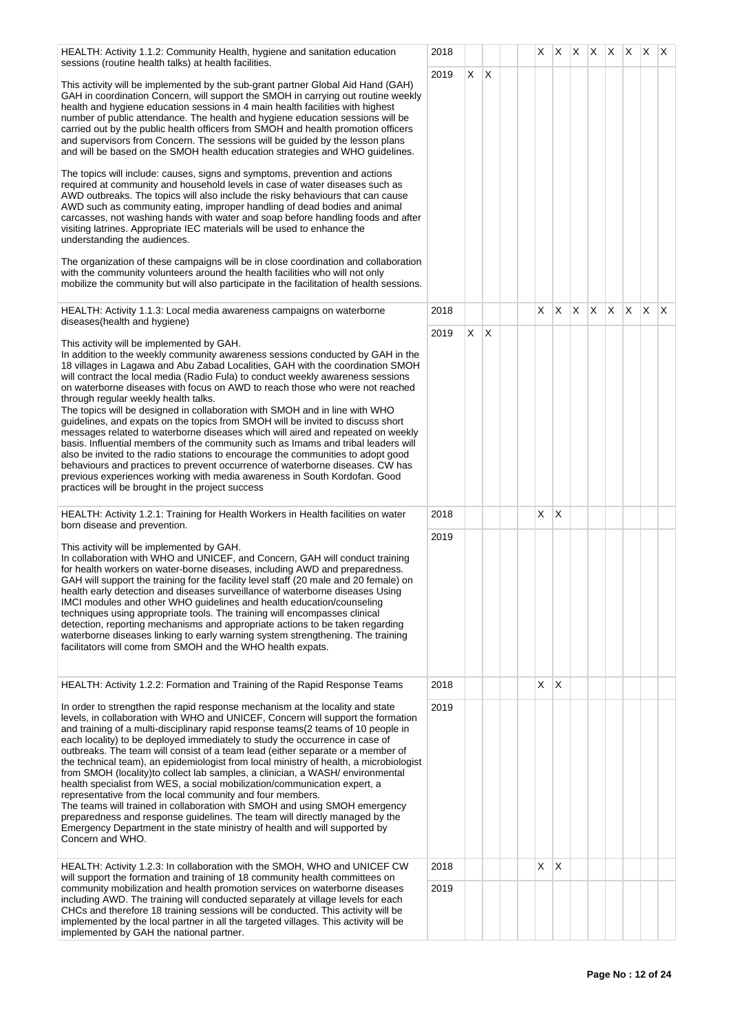| HEALTH: Activity 1.1.2: Community Health, hygiene and sanitation education<br>sessions (routine health talks) at health facilities.                                                                                                                                                                                                                                                                                                                                                                                                                                                                                                                                                                                                                                                                                                                                                                                                                                                                                                                                                                                                                                                                                                                                                                                                                                                                | 2018 |    |              |  | X. |              |    |    |    | $ X $ $ X $ $ X $ $ X $ $ X $ |              |              |
|----------------------------------------------------------------------------------------------------------------------------------------------------------------------------------------------------------------------------------------------------------------------------------------------------------------------------------------------------------------------------------------------------------------------------------------------------------------------------------------------------------------------------------------------------------------------------------------------------------------------------------------------------------------------------------------------------------------------------------------------------------------------------------------------------------------------------------------------------------------------------------------------------------------------------------------------------------------------------------------------------------------------------------------------------------------------------------------------------------------------------------------------------------------------------------------------------------------------------------------------------------------------------------------------------------------------------------------------------------------------------------------------------|------|----|--------------|--|----|--------------|----|----|----|-------------------------------|--------------|--------------|
| This activity will be implemented by the sub-grant partner Global Aid Hand (GAH)<br>GAH in coordination Concern, will support the SMOH in carrying out routine weekly<br>health and hygiene education sessions in 4 main health facilities with highest<br>number of public attendance. The health and hygiene education sessions will be<br>carried out by the public health officers from SMOH and health promotion officers<br>and supervisors from Concern. The sessions will be guided by the lesson plans<br>and will be based on the SMOH health education strategies and WHO guidelines.<br>The topics will include: causes, signs and symptoms, prevention and actions<br>required at community and household levels in case of water diseases such as<br>AWD outbreaks. The topics will also include the risky behaviours that can cause<br>AWD such as community eating, improper handling of dead bodies and animal<br>carcasses, not washing hands with water and soap before handling foods and after<br>visiting latrines. Appropriate IEC materials will be used to enhance the<br>understanding the audiences.<br>The organization of these campaigns will be in close coordination and collaboration<br>with the community volunteers around the health facilities who will not only<br>mobilize the community but will also participate in the facilitation of health sessions. | 2019 | X  | $\mathsf{X}$ |  |    |              |    |    |    |                               |              |              |
| HEALTH: Activity 1.1.3: Local media awareness campaigns on waterborne                                                                                                                                                                                                                                                                                                                                                                                                                                                                                                                                                                                                                                                                                                                                                                                                                                                                                                                                                                                                                                                                                                                                                                                                                                                                                                                              | 2018 |    |              |  | X  | X            | X. | X. | X. | $\mathsf{X}$                  | $\mathsf{X}$ | $\mathsf{X}$ |
| diseases(health and hygiene)                                                                                                                                                                                                                                                                                                                                                                                                                                                                                                                                                                                                                                                                                                                                                                                                                                                                                                                                                                                                                                                                                                                                                                                                                                                                                                                                                                       | 2019 | X. | $\mathsf{X}$ |  |    |              |    |    |    |                               |              |              |
| This activity will be implemented by GAH.<br>In addition to the weekly community awareness sessions conducted by GAH in the<br>18 villages in Lagawa and Abu Zabad Localities, GAH with the coordination SMOH<br>will contract the local media (Radio Fula) to conduct weekly awareness sessions<br>on waterborne diseases with focus on AWD to reach those who were not reached<br>through regular weekly health talks.<br>The topics will be designed in collaboration with SMOH and in line with WHO<br>guidelines, and expats on the topics from SMOH will be invited to discuss short<br>messages related to waterborne diseases which will aired and repeated on weekly<br>basis. Influential members of the community such as Imams and tribal leaders will<br>also be invited to the radio stations to encourage the communities to adopt good<br>behaviours and practices to prevent occurrence of waterborne diseases. CW has<br>previous experiences working with media awareness in South Kordofan. Good<br>practices will be brought in the project success                                                                                                                                                                                                                                                                                                                           |      |    |              |  |    |              |    |    |    |                               |              |              |
| HEALTH: Activity 1.2.1: Training for Health Workers in Health facilities on water<br>born disease and prevention.                                                                                                                                                                                                                                                                                                                                                                                                                                                                                                                                                                                                                                                                                                                                                                                                                                                                                                                                                                                                                                                                                                                                                                                                                                                                                  | 2018 |    |              |  | X. | Х            |    |    |    |                               |              |              |
| This activity will be implemented by GAH.<br>In collaboration with WHO and UNICEF, and Concern, GAH will conduct training<br>for health workers on water-borne diseases, including AWD and preparedness.<br>GAH will support the training for the facility level staff (20 male and 20 female) on<br>health early detection and diseases surveillance of waterborne diseases Using<br>IMCI modules and other WHO guidelines and health education/counseling<br>techniques using appropriate tools. The training will encompasses clinical<br>detection, reporting mechanisms and appropriate actions to be taken regarding<br>waterborne diseases linking to early warning system strengthening. The training<br>facilitators will come from SMOH and the WHO health expats.                                                                                                                                                                                                                                                                                                                                                                                                                                                                                                                                                                                                                       | 2019 |    |              |  |    |              |    |    |    |                               |              |              |
| HEALTH: Activity 1.2.2: Formation and Training of the Rapid Response Teams                                                                                                                                                                                                                                                                                                                                                                                                                                                                                                                                                                                                                                                                                                                                                                                                                                                                                                                                                                                                                                                                                                                                                                                                                                                                                                                         | 2018 |    |              |  | X. | $\mathsf{X}$ |    |    |    |                               |              |              |
| In order to strengthen the rapid response mechanism at the locality and state<br>levels, in collaboration with WHO and UNICEF, Concern will support the formation<br>and training of a multi-disciplinary rapid response teams(2 teams of 10 people in<br>each locality) to be deployed immediately to study the occurrence in case of<br>outbreaks. The team will consist of a team lead (either separate or a member of<br>the technical team), an epidemiologist from local ministry of health, a microbiologist<br>from SMOH (locality)to collect lab samples, a clinician, a WASH/ environmental<br>health specialist from WES, a social mobilization/communication expert, a<br>representative from the local community and four members.<br>The teams will trained in collaboration with SMOH and using SMOH emergency<br>preparedness and response guidelines. The team will directly managed by the<br>Emergency Department in the state ministry of health and will supported by<br>Concern and WHO.                                                                                                                                                                                                                                                                                                                                                                                     | 2019 |    |              |  |    |              |    |    |    |                               |              |              |
| HEALTH: Activity 1.2.3: In collaboration with the SMOH, WHO and UNICEF CW                                                                                                                                                                                                                                                                                                                                                                                                                                                                                                                                                                                                                                                                                                                                                                                                                                                                                                                                                                                                                                                                                                                                                                                                                                                                                                                          | 2018 |    |              |  | X. | $\mathsf{X}$ |    |    |    |                               |              |              |
| will support the formation and training of 18 community health committees on<br>community mobilization and health promotion services on waterborne diseases<br>including AWD. The training will conducted separately at village levels for each<br>CHCs and therefore 18 training sessions will be conducted. This activity will be<br>implemented by the local partner in all the targeted villages. This activity will be<br>implemented by GAH the national partner.                                                                                                                                                                                                                                                                                                                                                                                                                                                                                                                                                                                                                                                                                                                                                                                                                                                                                                                            | 2019 |    |              |  |    |              |    |    |    |                               |              |              |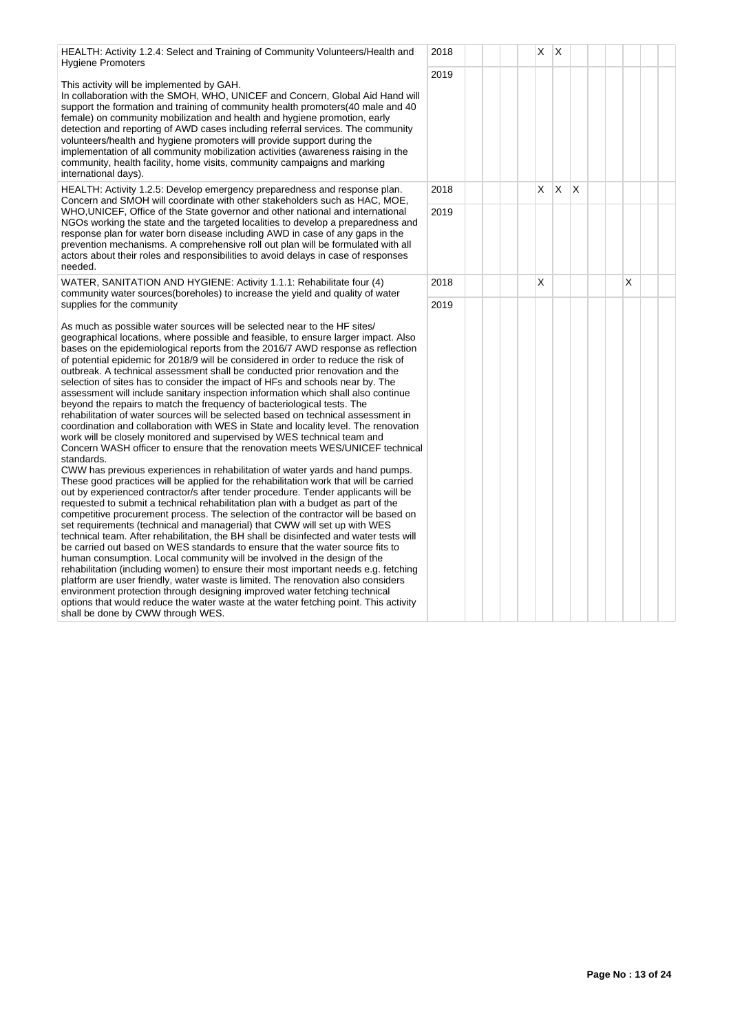HEALTH: Activity 1.2.4: Select and Training of Community Volunteers/Health and Hygiene Promoters

This activity will be implemented by GAH.

In collaboration with the SMOH, WHO, UNICEF and Concern, Global Aid Hand will support the formation and training of community health promoters(40 male and 40 female) on community mobilization and health and hygiene promotion, early detection and reporting of AWD cases including referral services. The community volunteers/health and hygiene promoters will provide support during the implementation of all community mobilization activities (awareness raising in the community, health facility, home visits, community campaigns and marking international days).

HEALTH: Activity 1.2.5: Develop emergency preparedness and response plan. Concern and SMOH will coordinate with other stakeholders such as HAC, MOE, WHO,UNICEF, Office of the State governor and other national and international NGOs working the state and the targeted localities to develop a preparedness and response plan for water born disease including AWD in case of any gaps in the prevention mechanisms. A comprehensive roll out plan will be formulated with all actors about their roles and responsibilities to avoid delays in case of responses needed.

WATER, SANITATION AND HYGIENE: Activity 1.1.1: Rehabilitate four (4) community water sources(boreholes) to increase the yield and quality of water supplies for the community

As much as possible water sources will be selected near to the HF sites/ geographical locations, where possible and feasible, to ensure larger impact. Also bases on the epidemiological reports from the 2016/7 AWD response as reflection of potential epidemic for 2018/9 will be considered in order to reduce the risk of outbreak. A technical assessment shall be conducted prior renovation and the selection of sites has to consider the impact of HFs and schools near by. The assessment will include sanitary inspection information which shall also continue beyond the repairs to match the frequency of bacteriological tests. The rehabilitation of water sources will be selected based on technical assessment in coordination and collaboration with WES in State and locality level. The renovation work will be closely monitored and supervised by WES technical team and Concern WASH officer to ensure that the renovation meets WES/UNICEF technical standards.

CWW has previous experiences in rehabilitation of water yards and hand pumps. These good practices will be applied for the rehabilitation work that will be carried out by experienced contractor/s after tender procedure. Tender applicants will be requested to submit a technical rehabilitation plan with a budget as part of the competitive procurement process. The selection of the contractor will be based on set requirements (technical and managerial) that CWW will set up with WES technical team. After rehabilitation, the BH shall be disinfected and water tests will be carried out based on WES standards to ensure that the water source fits to human consumption. Local community will be involved in the design of the rehabilitation (including women) to ensure their most important needs e.g. fetching platform are user friendly, water waste is limited. The renovation also considers environment protection through designing improved water fetching technical options that would reduce the water waste at the water fetching point. This activity shall be done by CWW through WES.

|              | 2018 |  |  | X                       | $\mathsf{X}$            |                         |  |                         |  |  |
|--------------|------|--|--|-------------------------|-------------------------|-------------------------|--|-------------------------|--|--|
| $\mathsf{I}$ | 2019 |  |  |                         |                         |                         |  |                         |  |  |
|              | 2018 |  |  | $\overline{\mathsf{X}}$ | $\overline{\mathsf{X}}$ | $\overline{\mathsf{x}}$ |  |                         |  |  |
|              | 2019 |  |  |                         |                         |                         |  |                         |  |  |
|              | 2018 |  |  | $\overline{\mathsf{x}}$ |                         |                         |  | $\overline{\mathsf{x}}$ |  |  |
| I<br>al      | 2019 |  |  |                         |                         |                         |  |                         |  |  |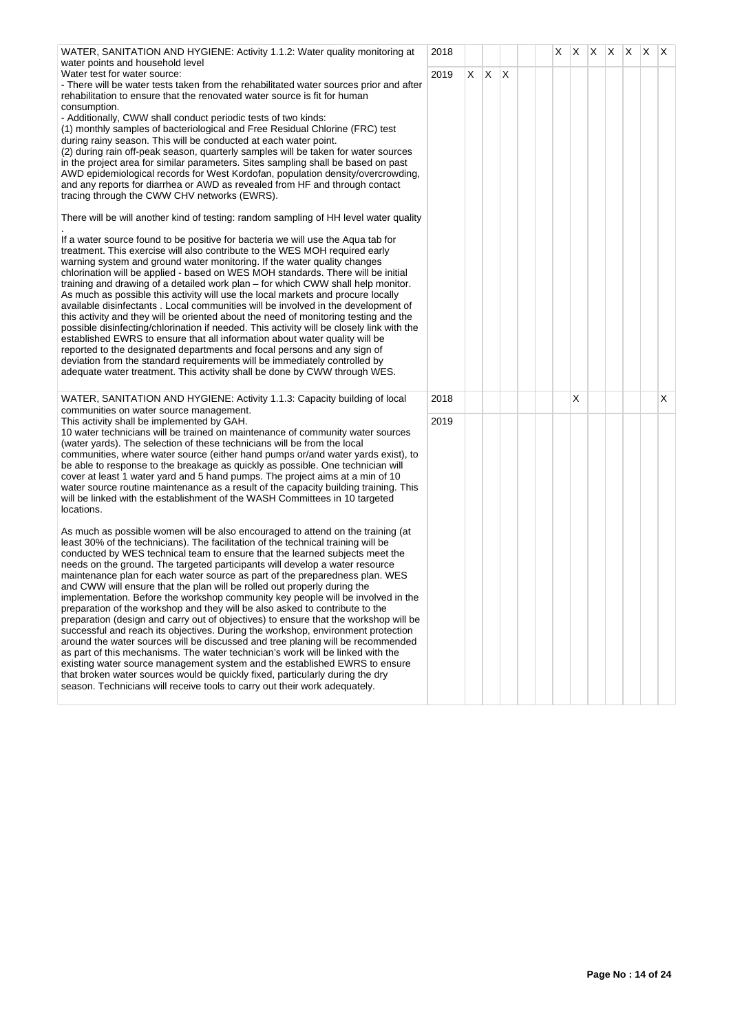| WATER, SANITATION AND HYGIENE: Activity 1.1.2: Water quality monitoring at                                                                                               | 2018 |   |    |              | X |   | $X$ $X$ $X$ $X$ $X$ |  |   |
|--------------------------------------------------------------------------------------------------------------------------------------------------------------------------|------|---|----|--------------|---|---|---------------------|--|---|
| water points and household level<br>Water test for water source:                                                                                                         | 2019 | X | X. | $\mathsf{X}$ |   |   |                     |  |   |
| - There will be water tests taken from the rehabilitated water sources prior and after<br>rehabilitation to ensure that the renovated water source is fit for human      |      |   |    |              |   |   |                     |  |   |
| consumption.                                                                                                                                                             |      |   |    |              |   |   |                     |  |   |
| - Additionally, CWW shall conduct periodic tests of two kinds:                                                                                                           |      |   |    |              |   |   |                     |  |   |
| (1) monthly samples of bacteriological and Free Residual Chlorine (FRC) test<br>during rainy season. This will be conducted at each water point.                         |      |   |    |              |   |   |                     |  |   |
| (2) during rain off-peak season, quarterly samples will be taken for water sources                                                                                       |      |   |    |              |   |   |                     |  |   |
| in the project area for similar parameters. Sites sampling shall be based on past<br>AWD epidemiological records for West Kordofan, population density/overcrowding,     |      |   |    |              |   |   |                     |  |   |
| and any reports for diarrhea or AWD as revealed from HF and through contact                                                                                              |      |   |    |              |   |   |                     |  |   |
| tracing through the CWW CHV networks (EWRS).                                                                                                                             |      |   |    |              |   |   |                     |  |   |
| There will be will another kind of testing: random sampling of HH level water quality                                                                                    |      |   |    |              |   |   |                     |  |   |
| If a water source found to be positive for bacteria we will use the Aqua tab for                                                                                         |      |   |    |              |   |   |                     |  |   |
| treatment. This exercise will also contribute to the WES MOH required early<br>warning system and ground water monitoring. If the water quality changes                  |      |   |    |              |   |   |                     |  |   |
| chlorination will be applied - based on WES MOH standards. There will be initial                                                                                         |      |   |    |              |   |   |                     |  |   |
| training and drawing of a detailed work plan – for which CWW shall help monitor.                                                                                         |      |   |    |              |   |   |                     |  |   |
| As much as possible this activity will use the local markets and procure locally<br>available disinfectants. Local communities will be involved in the development of    |      |   |    |              |   |   |                     |  |   |
| this activity and they will be oriented about the need of monitoring testing and the                                                                                     |      |   |    |              |   |   |                     |  |   |
| possible disinfecting/chlorination if needed. This activity will be closely link with the<br>established EWRS to ensure that all information about water quality will be |      |   |    |              |   |   |                     |  |   |
| reported to the designated departments and focal persons and any sign of                                                                                                 |      |   |    |              |   |   |                     |  |   |
| deviation from the standard requirements will be immediately controlled by<br>adequate water treatment. This activity shall be done by CWW through WES.                  |      |   |    |              |   |   |                     |  |   |
|                                                                                                                                                                          |      |   |    |              |   |   |                     |  |   |
| WATER, SANITATION AND HYGIENE: Activity 1.1.3: Capacity building of local<br>communities on water source management.                                                     | 2018 |   |    |              |   | X |                     |  | X |
| This activity shall be implemented by GAH.                                                                                                                               | 2019 |   |    |              |   |   |                     |  |   |
| 10 water technicians will be trained on maintenance of community water sources<br>(water yards). The selection of these technicians will be from the local               |      |   |    |              |   |   |                     |  |   |
| communities, where water source (either hand pumps or/and water yards exist), to                                                                                         |      |   |    |              |   |   |                     |  |   |
| be able to response to the breakage as quickly as possible. One technician will                                                                                          |      |   |    |              |   |   |                     |  |   |
| cover at least 1 water yard and 5 hand pumps. The project aims at a min of 10<br>water source routine maintenance as a result of the capacity building training. This    |      |   |    |              |   |   |                     |  |   |
| will be linked with the establishment of the WASH Committees in 10 targeted                                                                                              |      |   |    |              |   |   |                     |  |   |
| locations.                                                                                                                                                               |      |   |    |              |   |   |                     |  |   |
| As much as possible women will be also encouraged to attend on the training (at                                                                                          |      |   |    |              |   |   |                     |  |   |
| least 30% of the technicians). The facilitation of the technical training will be<br>conducted by WES technical team to ensure that the learned subjects meet the        |      |   |    |              |   |   |                     |  |   |
| needs on the ground. The targeted participants will develop a water resource                                                                                             |      |   |    |              |   |   |                     |  |   |
| maintenance plan for each water source as part of the preparedness plan. WES<br>and CWW will ensure that the plan will be rolled out properly during the                 |      |   |    |              |   |   |                     |  |   |
| implementation. Before the workshop community key people will be involved in the                                                                                         |      |   |    |              |   |   |                     |  |   |
| preparation of the workshop and they will be also asked to contribute to the<br>preparation (design and carry out of objectives) to ensure that the workshop will be     |      |   |    |              |   |   |                     |  |   |
| successful and reach its objectives. During the workshop, environment protection                                                                                         |      |   |    |              |   |   |                     |  |   |
| around the water sources will be discussed and tree planing will be recommended                                                                                          |      |   |    |              |   |   |                     |  |   |
| as part of this mechanisms. The water technician's work will be linked with the<br>existing water source management system and the established EWRS to ensure            |      |   |    |              |   |   |                     |  |   |
| that broken water sources would be quickly fixed, particularly during the dry                                                                                            |      |   |    |              |   |   |                     |  |   |
| season. Technicians will receive tools to carry out their work adequately.                                                                                               |      |   |    |              |   |   |                     |  |   |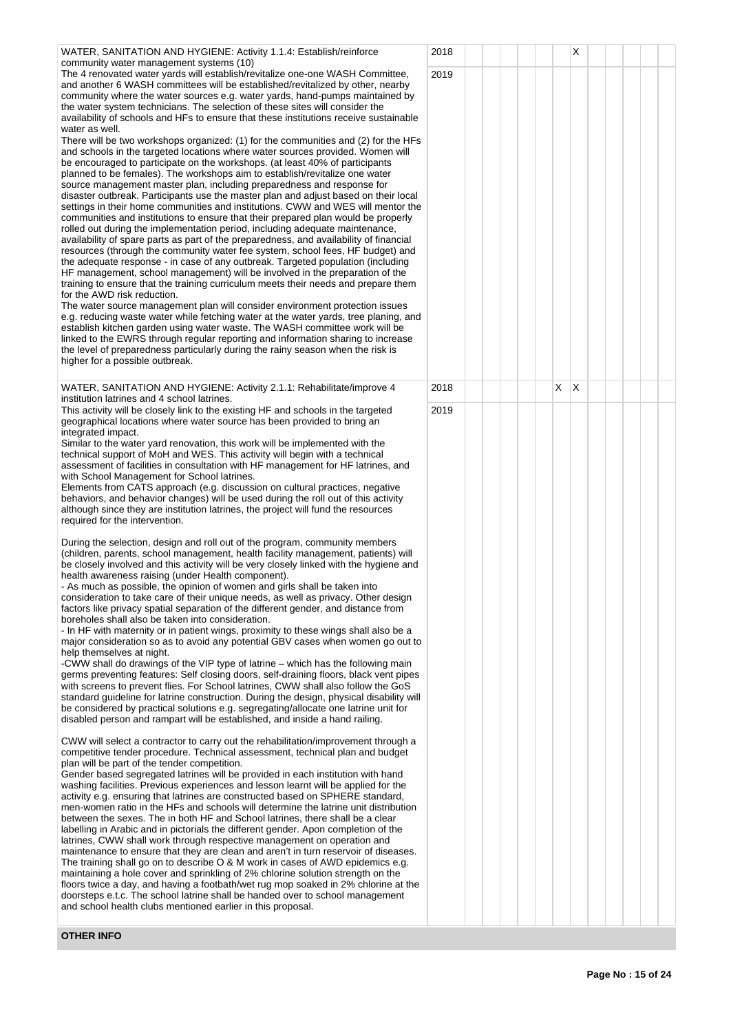| WATER, SANITATION AND HYGIENE: Activity 1.1.4: Establish/reinforce<br>community water management systems (10)                                                                                                                                                                                                                                                                                                                                                                                                                                                                                                                                                                                                                                                                                                                                                                                                                                                                                                                                                                                                                                                                                                                                                                                                                                                                                                                                                                                                                                                                                                                                                                                                                                                                                                                                                                                                                                                                                                                                                                                                                                    | 2018 |  | X         |  |  |
|--------------------------------------------------------------------------------------------------------------------------------------------------------------------------------------------------------------------------------------------------------------------------------------------------------------------------------------------------------------------------------------------------------------------------------------------------------------------------------------------------------------------------------------------------------------------------------------------------------------------------------------------------------------------------------------------------------------------------------------------------------------------------------------------------------------------------------------------------------------------------------------------------------------------------------------------------------------------------------------------------------------------------------------------------------------------------------------------------------------------------------------------------------------------------------------------------------------------------------------------------------------------------------------------------------------------------------------------------------------------------------------------------------------------------------------------------------------------------------------------------------------------------------------------------------------------------------------------------------------------------------------------------------------------------------------------------------------------------------------------------------------------------------------------------------------------------------------------------------------------------------------------------------------------------------------------------------------------------------------------------------------------------------------------------------------------------------------------------------------------------------------------------|------|--|-----------|--|--|
| The 4 renovated water yards will establish/revitalize one-one WASH Committee,<br>and another 6 WASH committees will be established/revitalized by other, nearby<br>community where the water sources e.g. water yards, hand-pumps maintained by<br>the water system technicians. The selection of these sites will consider the<br>availability of schools and HFs to ensure that these institutions receive sustainable<br>water as well.<br>There will be two workshops organized: (1) for the communities and (2) for the HFs<br>and schools in the targeted locations where water sources provided. Women will<br>be encouraged to participate on the workshops. (at least 40% of participants<br>planned to be females). The workshops aim to establish/revitalize one water<br>source management master plan, including preparedness and response for<br>disaster outbreak. Participants use the master plan and adjust based on their local<br>settings in their home communities and institutions. CWW and WES will mentor the<br>communities and institutions to ensure that their prepared plan would be properly<br>rolled out during the implementation period, including adequate maintenance,<br>availability of spare parts as part of the preparedness, and availability of financial<br>resources (through the community water fee system, school fees, HF budget) and<br>the adequate response - in case of any outbreak. Targeted population (including<br>HF management, school management) will be involved in the preparation of the<br>training to ensure that the training curriculum meets their needs and prepare them<br>for the AWD risk reduction.<br>The water source management plan will consider environment protection issues<br>e.g. reducing waste water while fetching water at the water yards, tree planing, and<br>establish kitchen garden using water waste. The WASH committee work will be<br>linked to the EWRS through regular reporting and information sharing to increase<br>the level of preparedness particularly during the rainy season when the risk is<br>higher for a possible outbreak. | 2019 |  |           |  |  |
| WATER, SANITATION AND HYGIENE: Activity 2.1.1: Rehabilitate/improve 4                                                                                                                                                                                                                                                                                                                                                                                                                                                                                                                                                                                                                                                                                                                                                                                                                                                                                                                                                                                                                                                                                                                                                                                                                                                                                                                                                                                                                                                                                                                                                                                                                                                                                                                                                                                                                                                                                                                                                                                                                                                                            | 2018 |  | X.<br>ΙX. |  |  |
| institution latrines and 4 school latrines.<br>This activity will be closely link to the existing HF and schools in the targeted<br>geographical locations where water source has been provided to bring an<br>integrated impact.<br>Similar to the water yard renovation, this work will be implemented with the<br>technical support of MoH and WES. This activity will begin with a technical<br>assessment of facilities in consultation with HF management for HF latrines, and<br>with School Management for School latrines.<br>Elements from CATS approach (e.g. discussion on cultural practices, negative<br>behaviors, and behavior changes) will be used during the roll out of this activity<br>although since they are institution latrines, the project will fund the resources<br>required for the intervention.                                                                                                                                                                                                                                                                                                                                                                                                                                                                                                                                                                                                                                                                                                                                                                                                                                                                                                                                                                                                                                                                                                                                                                                                                                                                                                                 | 2019 |  |           |  |  |
| During the selection, design and roll out of the program, community members<br>(children, parents, school management, health facility management, patients) will<br>be closely involved and this activity will be very closely linked with the hygiene and<br>health awareness raising (under Health component).<br>- As much as possible, the opinion of women and girls shall be taken into<br>consideration to take care of their unique needs, as well as privacy. Other design<br>factors like privacy spatial separation of the different gender, and distance from<br>boreholes shall also be taken into consideration.<br>- In HF with maternity or in patient wings, proximity to these wings shall also be a<br>major consideration so as to avoid any potential GBV cases when women go out to<br>help themselves at night.<br>-CWW shall do drawings of the VIP type of latrine – which has the following main<br>germs preventing features: Self closing doors, self-draining floors, black vent pipes<br>with screens to prevent flies. For School latrines, CWW shall also follow the GoS<br>standard guideline for latrine construction. During the design, physical disability will<br>be considered by practical solutions e.g. segregating/allocate one latrine unit for<br>disabled person and rampart will be established, and inside a hand railing.<br>CWW will select a contractor to carry out the rehabilitation/improvement through a<br>competitive tender procedure. Technical assessment, technical plan and budget<br>plan will be part of the tender competition.<br>Gender based segregated latrines will be provided in each institution with hand<br>washing facilities. Previous experiences and lesson learnt will be applied for the<br>activity e.g. ensuring that latrines are constructed based on SPHERE standard,<br>men-women ratio in the HFs and schools will determine the latrine unit distribution                                                                                                                                                                                              |      |  |           |  |  |
| between the sexes. The in both HF and School latrines, there shall be a clear<br>labelling in Arabic and in pictorials the different gender. Apon completion of the<br>latrines, CWW shall work through respective management on operation and<br>maintenance to ensure that they are clean and aren't in turn reservoir of diseases.<br>The training shall go on to describe O & M work in cases of AWD epidemics e.g.<br>maintaining a hole cover and sprinkling of 2% chlorine solution strength on the<br>floors twice a day, and having a footbath/wet rug mop soaked in 2% chlorine at the<br>doorsteps e.t.c. The school latrine shall be handed over to school management<br>and school health clubs mentioned earlier in this proposal.                                                                                                                                                                                                                                                                                                                                                                                                                                                                                                                                                                                                                                                                                                                                                                                                                                                                                                                                                                                                                                                                                                                                                                                                                                                                                                                                                                                                 |      |  |           |  |  |
| <b>OTHER INFO</b>                                                                                                                                                                                                                                                                                                                                                                                                                                                                                                                                                                                                                                                                                                                                                                                                                                                                                                                                                                                                                                                                                                                                                                                                                                                                                                                                                                                                                                                                                                                                                                                                                                                                                                                                                                                                                                                                                                                                                                                                                                                                                                                                |      |  |           |  |  |

**Page No : 15 of 24**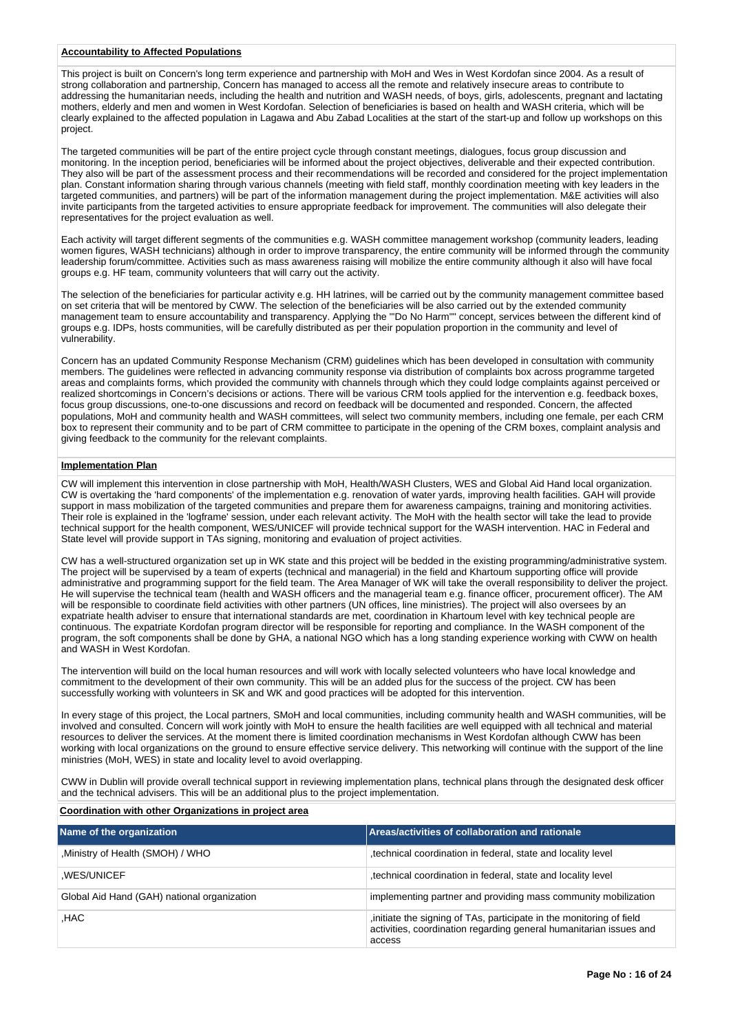## **Accountability to Affected Populations**

This project is built on Concern's long term experience and partnership with MoH and Wes in West Kordofan since 2004. As a result of strong collaboration and partnership, Concern has managed to access all the remote and relatively insecure areas to contribute to addressing the humanitarian needs, including the health and nutrition and WASH needs, of boys, girls, adolescents, pregnant and lactating mothers, elderly and men and women in West Kordofan. Selection of beneficiaries is based on health and WASH criteria, which will be clearly explained to the affected population in Lagawa and Abu Zabad Localities at the start of the start-up and follow up workshops on this project.

The targeted communities will be part of the entire project cycle through constant meetings, dialogues, focus group discussion and monitoring. In the inception period, beneficiaries will be informed about the project objectives, deliverable and their expected contribution. They also will be part of the assessment process and their recommendations will be recorded and considered for the project implementation plan. Constant information sharing through various channels (meeting with field staff, monthly coordination meeting with key leaders in the targeted communities, and partners) will be part of the information management during the project implementation. M&E activities will also invite participants from the targeted activities to ensure appropriate feedback for improvement. The communities will also delegate their representatives for the project evaluation as well.

Each activity will target different segments of the communities e.g. WASH committee management workshop (community leaders, leading women figures, WASH technicians) although in order to improve transparency, the entire community will be informed through the community leadership forum/committee. Activities such as mass awareness raising will mobilize the entire community although it also will have focal groups e.g. HF team, community volunteers that will carry out the activity.

The selection of the beneficiaries for particular activity e.g. HH latrines, will be carried out by the community management committee based on set criteria that will be mentored by CWW. The selection of the beneficiaries will be also carried out by the extended community management team to ensure accountability and transparency. Applying the "'Do No Harm"" concept, services between the different kind of groups e.g. IDPs, hosts communities, will be carefully distributed as per their population proportion in the community and level of vulnerability.

Concern has an updated Community Response Mechanism (CRM) guidelines which has been developed in consultation with community members. The guidelines were reflected in advancing community response via distribution of complaints box across programme targeted areas and complaints forms, which provided the community with channels through which they could lodge complaints against perceived or realized shortcomings in Concern's decisions or actions. There will be various CRM tools applied for the intervention e.g. feedback boxes, focus group discussions, one-to-one discussions and record on feedback will be documented and responded. Concern, the affected populations, MoH and community health and WASH committees, will select two community members, including one female, per each CRM box to represent their community and to be part of CRM committee to participate in the opening of the CRM boxes, complaint analysis and giving feedback to the community for the relevant complaints.

## **Implementation Plan**

CW will implement this intervention in close partnership with MoH, Health/WASH Clusters, WES and Global Aid Hand local organization. CW is overtaking the 'hard components' of the implementation e.g. renovation of water yards, improving health facilities. GAH will provide support in mass mobilization of the targeted communities and prepare them for awareness campaigns, training and monitoring activities. Their role is explained in the 'logframe' session, under each relevant activity. The MoH with the health sector will take the lead to provide technical support for the health component, WES/UNICEF will provide technical support for the WASH intervention. HAC in Federal and State level will provide support in TAs signing, monitoring and evaluation of project activities.

CW has a well-structured organization set up in WK state and this project will be bedded in the existing programming/administrative system. The project will be supervised by a team of experts (technical and managerial) in the field and Khartoum supporting office will provide administrative and programming support for the field team. The Area Manager of WK will take the overall responsibility to deliver the project. He will supervise the technical team (health and WASH officers and the managerial team e.g. finance officer, procurement officer). The AM will be responsible to coordinate field activities with other partners (UN offices, line ministries). The project will also oversees by an expatriate health adviser to ensure that international standards are met, coordination in Khartoum level with key technical people are continuous. The expatriate Kordofan program director will be responsible for reporting and compliance. In the WASH component of the program, the soft components shall be done by GHA, a national NGO which has a long standing experience working with CWW on health and WASH in West Kordofan.

The intervention will build on the local human resources and will work with locally selected volunteers who have local knowledge and commitment to the development of their own community. This will be an added plus for the success of the project. CW has been successfully working with volunteers in SK and WK and good practices will be adopted for this intervention.

In every stage of this project, the Local partners, SMoH and local communities, including community health and WASH communities, will be involved and consulted. Concern will work jointly with MoH to ensure the health facilities are well equipped with all technical and material resources to deliver the services. At the moment there is limited coordination mechanisms in West Kordofan although CWW has been working with local organizations on the ground to ensure effective service delivery. This networking will continue with the support of the line ministries (MoH, WES) in state and locality level to avoid overlapping.

CWW in Dublin will provide overall technical support in reviewing implementation plans, technical plans through the designated desk officer and the technical advisers. This will be an additional plus to the project implementation.

## **Coordination with other Organizations in project area**

| Name of the organization                    | Areas/activities of collaboration and rationale                                                                                                       |
|---------------------------------------------|-------------------------------------------------------------------------------------------------------------------------------------------------------|
| Ministry of Health (SMOH) / WHO             | technical coordination in federal, state and locality level                                                                                           |
| .WES/UNICEF                                 | technical coordination in federal, state and locality level                                                                                           |
| Global Aid Hand (GAH) national organization | implementing partner and providing mass community mobilization                                                                                        |
| .HAC                                        | , initiate the signing of TAs, participate in the monitoring of field<br>activities, coordination regarding general humanitarian issues and<br>access |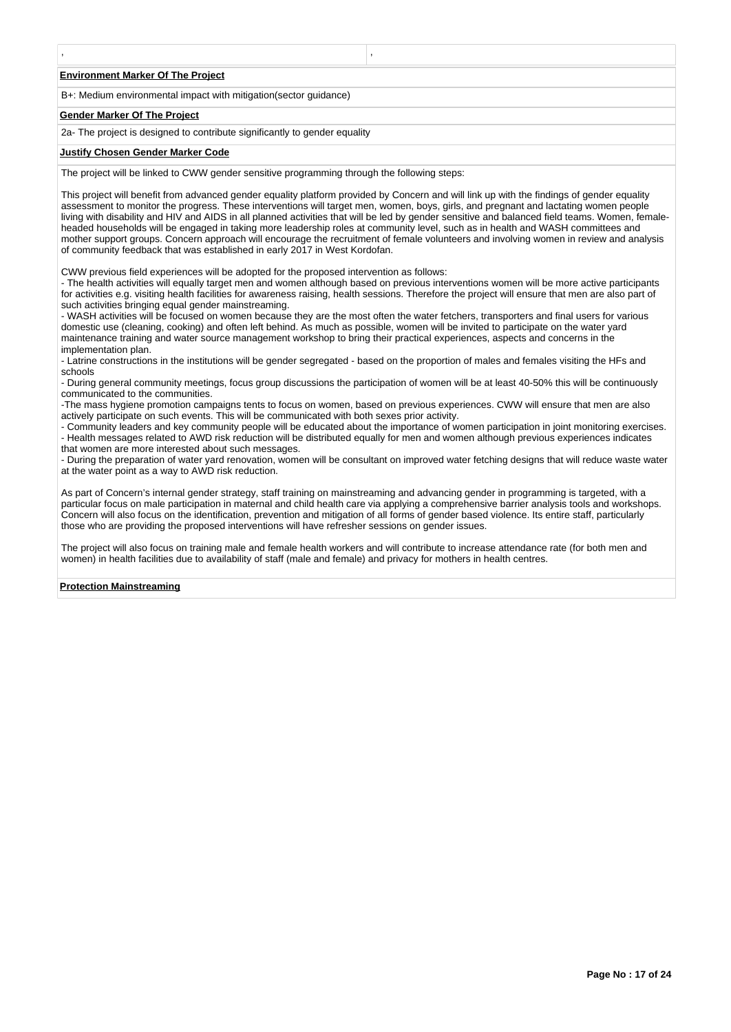#### **Environment Marker Of The Project**

B+: Medium environmental impact with mitigation(sector guidance)

#### **Gender Marker Of The Project**

2a- The project is designed to contribute significantly to gender equality

, ,

#### **Justify Chosen Gender Marker Code**

The project will be linked to CWW gender sensitive programming through the following steps:

This project will benefit from advanced gender equality platform provided by Concern and will link up with the findings of gender equality assessment to monitor the progress. These interventions will target men, women, boys, girls, and pregnant and lactating women people living with disability and HIV and AIDS in all planned activities that will be led by gender sensitive and balanced field teams. Women, femaleheaded households will be engaged in taking more leadership roles at community level, such as in health and WASH committees and mother support groups. Concern approach will encourage the recruitment of female volunteers and involving women in review and analysis of community feedback that was established in early 2017 in West Kordofan.

CWW previous field experiences will be adopted for the proposed intervention as follows:

- The health activities will equally target men and women although based on previous interventions women will be more active participants for activities e.g. visiting health facilities for awareness raising, health sessions. Therefore the project will ensure that men are also part of such activities bringing equal gender mainstreaming.

- WASH activities will be focused on women because they are the most often the water fetchers, transporters and final users for various domestic use (cleaning, cooking) and often left behind. As much as possible, women will be invited to participate on the water yard maintenance training and water source management workshop to bring their practical experiences, aspects and concerns in the implementation plan.

- Latrine constructions in the institutions will be gender segregated - based on the proportion of males and females visiting the HFs and schools

- During general community meetings, focus group discussions the participation of women will be at least 40-50% this will be continuously communicated to the communities.

-The mass hygiene promotion campaigns tents to focus on women, based on previous experiences. CWW will ensure that men are also actively participate on such events. This will be communicated with both sexes prior activity.

- Community leaders and key community people will be educated about the importance of women participation in joint monitoring exercises. - Health messages related to AWD risk reduction will be distributed equally for men and women although previous experiences indicates that women are more interested about such messages.

- During the preparation of water yard renovation, women will be consultant on improved water fetching designs that will reduce waste water at the water point as a way to AWD risk reduction.

As part of Concern's internal gender strategy, staff training on mainstreaming and advancing gender in programming is targeted, with a particular focus on male participation in maternal and child health care via applying a comprehensive barrier analysis tools and workshops. Concern will also focus on the identification, prevention and mitigation of all forms of gender based violence. Its entire staff, particularly those who are providing the proposed interventions will have refresher sessions on gender issues.

The project will also focus on training male and female health workers and will contribute to increase attendance rate (for both men and women) in health facilities due to availability of staff (male and female) and privacy for mothers in health centres.

#### **Protection Mainstreaming**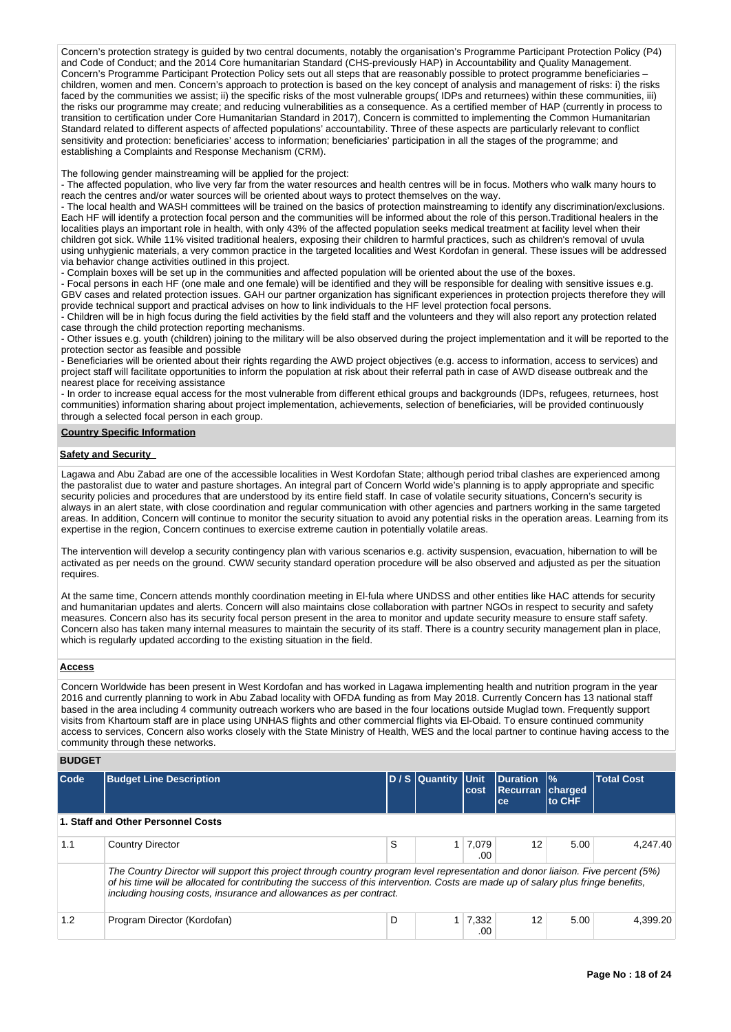Concern's protection strategy is guided by two central documents, notably the organisation's Programme Participant Protection Policy (P4) and Code of Conduct; and the 2014 Core humanitarian Standard (CHS-previously HAP) in Accountability and Quality Management. Concern's Programme Participant Protection Policy sets out all steps that are reasonably possible to protect programme beneficiaries – children, women and men. Concern's approach to protection is based on the key concept of analysis and management of risks: i) the risks faced by the communities we assist; ii) the specific risks of the most vulnerable groups( IDPs and returnees) within these communities, iii) the risks our programme may create; and reducing vulnerabilities as a consequence. As a certified member of HAP (currently in process to transition to certification under Core Humanitarian Standard in 2017), Concern is committed to implementing the Common Humanitarian Standard related to different aspects of affected populations' accountability. Three of these aspects are particularly relevant to conflict sensitivity and protection: beneficiaries' access to information; beneficiaries' participation in all the stages of the programme; and establishing a Complaints and Response Mechanism (CRM).

The following gender mainstreaming will be applied for the project:

- The affected population, who live very far from the water resources and health centres will be in focus. Mothers who walk many hours to reach the centres and/or water sources will be oriented about ways to protect themselves on the way.

- The local health and WASH committees will be trained on the basics of protection mainstreaming to identify any discrimination/exclusions. Each HF will identify a protection focal person and the communities will be informed about the role of this person.Traditional healers in the localities plays an important role in health, with only 43% of the affected population seeks medical treatment at facility level when their children got sick. While 11% visited traditional healers, exposing their children to harmful practices, such as children's removal of uvula using unhygienic materials, a very common practice in the targeted localities and West Kordofan in general. These issues will be addressed via behavior change activities outlined in this project.

- Complain boxes will be set up in the communities and affected population will be oriented about the use of the boxes.

- Focal persons in each HF (one male and one female) will be identified and they will be responsible for dealing with sensitive issues e.g. GBV cases and related protection issues. GAH our partner organization has significant experiences in protection projects therefore they will provide technical support and practical advises on how to link individuals to the HF level protection focal persons.

- Children will be in high focus during the field activities by the field staff and the volunteers and they will also report any protection related case through the child protection reporting mechanisms.

- Other issues e.g. youth (children) joining to the military will be also observed during the project implementation and it will be reported to the protection sector as feasible and possible

- Beneficiaries will be oriented about their rights regarding the AWD project objectives (e.g. access to information, access to services) and project staff will facilitate opportunities to inform the population at risk about their referral path in case of AWD disease outbreak and the nearest place for receiving assistance

- In order to increase equal access for the most vulnerable from different ethical groups and backgrounds (IDPs, refugees, returnees, host communities) information sharing about project implementation, achievements, selection of beneficiaries, will be provided continuously through a selected focal person in each group.

### **Country Specific Information**

#### **Safety and Security**

Lagawa and Abu Zabad are one of the accessible localities in West Kordofan State; although period tribal clashes are experienced among the pastoralist due to water and pasture shortages. An integral part of Concern World wide's planning is to apply appropriate and specific security policies and procedures that are understood by its entire field staff. In case of volatile security situations, Concern's security is always in an alert state, with close coordination and regular communication with other agencies and partners working in the same targeted areas. In addition, Concern will continue to monitor the security situation to avoid any potential risks in the operation areas. Learning from its expertise in the region, Concern continues to exercise extreme caution in potentially volatile areas.

The intervention will develop a security contingency plan with various scenarios e.g. activity suspension, evacuation, hibernation to will be activated as per needs on the ground. CWW security standard operation procedure will be also observed and adjusted as per the situation requires.

At the same time, Concern attends monthly coordination meeting in El-fula where UNDSS and other entities like HAC attends for security and humanitarian updates and alerts. Concern will also maintains close collaboration with partner NGOs in respect to security and safety measures. Concern also has its security focal person present in the area to monitor and update security measure to ensure staff safety. Concern also has taken many internal measures to maintain the security of its staff. There is a country security management plan in place, which is regularly updated according to the existing situation in the field.

### **Access**

Concern Worldwide has been present in West Kordofan and has worked in Lagawa implementing health and nutrition program in the year 2016 and currently planning to work in Abu Zabad locality with OFDA funding as from May 2018. Currently Concern has 13 national staff based in the area including 4 community outreach workers who are based in the four locations outside Muglad town. Frequently support visits from Khartoum staff are in place using UNHAS flights and other commercial flights via El-Obaid. To ensure continued community access to services, Concern also works closely with the State Ministry of Health, WES and the local partner to continue having access to the community through these networks.

## **BUDGET**

| Code                                                                                                                                                                                                                                                                                                                                         | <b>Budget Line Description</b>     |   | D / S Quantity Unit | cost           | Duration<br>Recurran charged<br>ce | $\frac{9}{6}$<br>to CHF | <b>Total Cost</b> |  |  |  |  |
|----------------------------------------------------------------------------------------------------------------------------------------------------------------------------------------------------------------------------------------------------------------------------------------------------------------------------------------------|------------------------------------|---|---------------------|----------------|------------------------------------|-------------------------|-------------------|--|--|--|--|
|                                                                                                                                                                                                                                                                                                                                              | 1. Staff and Other Personnel Costs |   |                     |                |                                    |                         |                   |  |  |  |  |
| 1.1                                                                                                                                                                                                                                                                                                                                          | <b>Country Director</b>            | S |                     | 1 7,079<br>.00 | 12                                 | 5.00                    | 4.247.40          |  |  |  |  |
| The Country Director will support this project through country program level representation and donor liaison. Five percent (5%)<br>of his time will be allocated for contributing the success of this intervention. Costs are made up of salary plus fringe benefits,<br>including housing costs, insurance and allowances as per contract. |                                    |   |                     |                |                                    |                         |                   |  |  |  |  |
| 1.2                                                                                                                                                                                                                                                                                                                                          | Program Director (Kordofan)        | D |                     | 7,332<br>.00   | 12                                 | 5.00                    | 4.399.20          |  |  |  |  |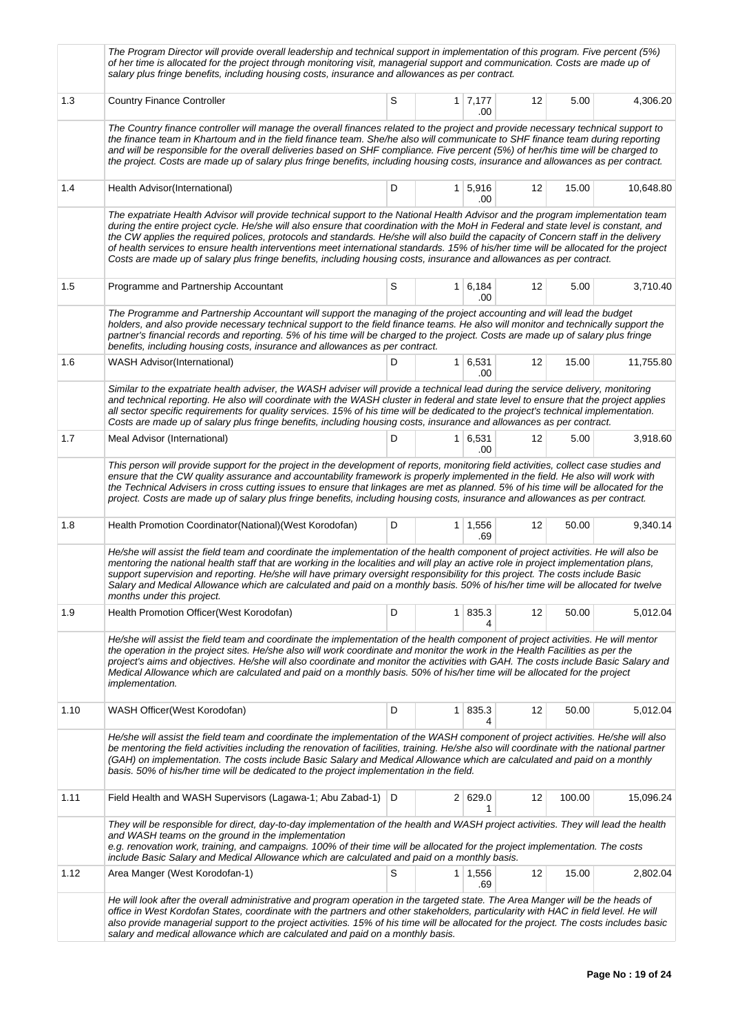|      | The Program Director will provide overall leadership and technical support in implementation of this program. Five percent (5%)<br>of her time is allocated for the project through monitoring visit, managerial support and communication. Costs are made up of<br>salary plus fringe benefits, including housing costs, insurance and allowances as per contract.                                                                                                                                                                                                                                                                                                           |   |                |                              |    |        |           |
|------|-------------------------------------------------------------------------------------------------------------------------------------------------------------------------------------------------------------------------------------------------------------------------------------------------------------------------------------------------------------------------------------------------------------------------------------------------------------------------------------------------------------------------------------------------------------------------------------------------------------------------------------------------------------------------------|---|----------------|------------------------------|----|--------|-----------|
| 1.3  | <b>Country Finance Controller</b>                                                                                                                                                                                                                                                                                                                                                                                                                                                                                                                                                                                                                                             | S |                | $1 \mid 7,177$<br>.00        | 12 | 5.00   | 4,306.20  |
|      | The Country finance controller will manage the overall finances related to the project and provide necessary technical support to<br>the finance team in Khartoum and in the field finance team. She/he also will communicate to SHF finance team during reporting<br>and will be responsible for the overall deliveries based on SHF compliance. Five percent (5%) of her/his time will be charged to<br>the project. Costs are made up of salary plus fringe benefits, including housing costs, insurance and allowances as per contract.                                                                                                                                   |   |                |                              |    |        |           |
| 1.4  | Health Advisor(International)                                                                                                                                                                                                                                                                                                                                                                                                                                                                                                                                                                                                                                                 | D |                | 1   5,916<br>.00             | 12 | 15.00  | 10,648.80 |
|      | The expatriate Health Advisor will provide technical support to the National Health Advisor and the program implementation team<br>during the entire project cycle. He/she will also ensure that coordination with the MoH in Federal and state level is constant, and<br>the CW applies the required polices, protocols and standards. He/she will also build the capacity of Concern staff in the delivery<br>of health services to ensure health interventions meet international standards. 15% of his/her time will be allocated for the project<br>Costs are made up of salary plus fringe benefits, including housing costs, insurance and allowances as per contract. |   |                |                              |    |        |           |
| 1.5  | Programme and Partnership Accountant                                                                                                                                                                                                                                                                                                                                                                                                                                                                                                                                                                                                                                          | S |                | $1 \mid 6,184$<br>.00        | 12 | 5.00   | 3,710.40  |
|      | The Programme and Partnership Accountant will support the managing of the project accounting and will lead the budget<br>holders, and also provide necessary technical support to the field finance teams. He also will monitor and technically support the<br>partner's financial records and reporting. 5% of his time will be charged to the project. Costs are made up of salary plus fringe<br>benefits, including housing costs, insurance and allowances as per contract.                                                                                                                                                                                              |   |                |                              |    |        |           |
| 1.6  | <b>WASH Advisor</b> (International)                                                                                                                                                                                                                                                                                                                                                                                                                                                                                                                                                                                                                                           | D |                | $1 \vert 6,531 \vert$<br>.00 | 12 | 15.00  | 11,755.80 |
|      | Similar to the expatriate health adviser, the WASH adviser will provide a technical lead during the service delivery, monitoring<br>and technical reporting. He also will coordinate with the WASH cluster in federal and state level to ensure that the project applies<br>all sector specific requirements for quality services. 15% of his time will be dedicated to the project's technical implementation.<br>Costs are made up of salary plus fringe benefits, including housing costs, insurance and allowances as per contract.                                                                                                                                       |   |                |                              |    |        |           |
| 1.7  | Meal Advisor (International)                                                                                                                                                                                                                                                                                                                                                                                                                                                                                                                                                                                                                                                  | D |                | 1   6,531<br>.00             | 12 | 5.00   | 3,918.60  |
|      | This person will provide support for the project in the development of reports, monitoring field activities, collect case studies and<br>ensure that the CW quality assurance and accountability framework is properly implemented in the field. He also will work with<br>the Technical Advisers in cross cutting issues to ensure that linkages are met as planned. 5% of his time will be allocated for the<br>project. Costs are made up of salary plus fringe benefits, including housing costs, insurance and allowances as per contract.                                                                                                                               |   |                |                              |    |        |           |
| 1.8  | Health Promotion Coordinator(National)(West Korodofan)                                                                                                                                                                                                                                                                                                                                                                                                                                                                                                                                                                                                                        | D |                | $1 \quad 1,556$<br>.69       | 12 | 50.00  | 9,340.14  |
|      | He/she will assist the field team and coordinate the implementation of the health component of project activities. He will also be<br>mentoring the national health staff that are working in the localities and will play an active role in project implementation plans,<br>support supervision and reporting. He/she will have primary oversight responsibility for this project. The costs include Basic<br>Salary and Medical Allowance which are calculated and paid on a monthly basis. 50% of his/her time will be allocated for twelve<br>months under this project.                                                                                                 |   |                |                              |    |        |           |
| 1.9  | Health Promotion Officer (West Korodofan)                                                                                                                                                                                                                                                                                                                                                                                                                                                                                                                                                                                                                                     | D |                | 1 835.3<br>4                 | 12 | 50.00  | 5,012.04  |
|      | He/she will assist the field team and coordinate the implementation of the health component of project activities. He will mentor<br>the operation in the project sites. He/she also will work coordinate and monitor the work in the Health Facilities as per the<br>project's aims and objectives. He/she will also coordinate and monitor the activities with GAH. The costs include Basic Salary and<br>Medical Allowance which are calculated and paid on a monthly basis. 50% of his/her time will be allocated for the project<br><i>implementation.</i>                                                                                                               |   |                |                              |    |        |           |
| 1.10 | WASH Officer(West Korodofan)                                                                                                                                                                                                                                                                                                                                                                                                                                                                                                                                                                                                                                                  | D | 1 <sup>1</sup> | 835.3<br>4                   | 12 | 50.00  | 5,012.04  |
|      | He/she will assist the field team and coordinate the implementation of the WASH component of project activities. He/she will also<br>be mentoring the field activities including the renovation of facilities, training. He/she also will coordinate with the national partner<br>(GAH) on implementation. The costs include Basic Salary and Medical Allowance which are calculated and paid on a monthly<br>basis. 50% of his/her time will be dedicated to the project implementation in the field.                                                                                                                                                                        |   |                |                              |    |        |           |
| 1.11 | Field Health and WASH Supervisors (Lagawa-1; Abu Zabad-1)   D                                                                                                                                                                                                                                                                                                                                                                                                                                                                                                                                                                                                                 |   |                | 2 629.0<br>1                 | 12 | 100.00 | 15,096.24 |
|      | They will be responsible for direct, day-to-day implementation of the health and WASH project activities. They will lead the health<br>and WASH teams on the ground in the implementation<br>e.g. renovation work, training, and campaigns. 100% of their time will be allocated for the project implementation. The costs<br>include Basic Salary and Medical Allowance which are calculated and paid on a monthly basis.                                                                                                                                                                                                                                                    |   |                |                              |    |        |           |
| 1.12 | Area Manger (West Korodofan-1)                                                                                                                                                                                                                                                                                                                                                                                                                                                                                                                                                                                                                                                | S |                | $1 \mid 1,556$<br>.69        | 12 | 15.00  | 2,802.04  |
|      | He will look after the overall administrative and program operation in the targeted state. The Area Manger will be the heads of<br>office in West Kordofan States, coordinate with the partners and other stakeholders, particularity with HAC in field level. He will<br>also provide managerial support to the project activities. 15% of his time will be allocated for the project. The costs includes basic<br>salary and medical allowance which are calculated and paid on a monthly basis.                                                                                                                                                                            |   |                |                              |    |        |           |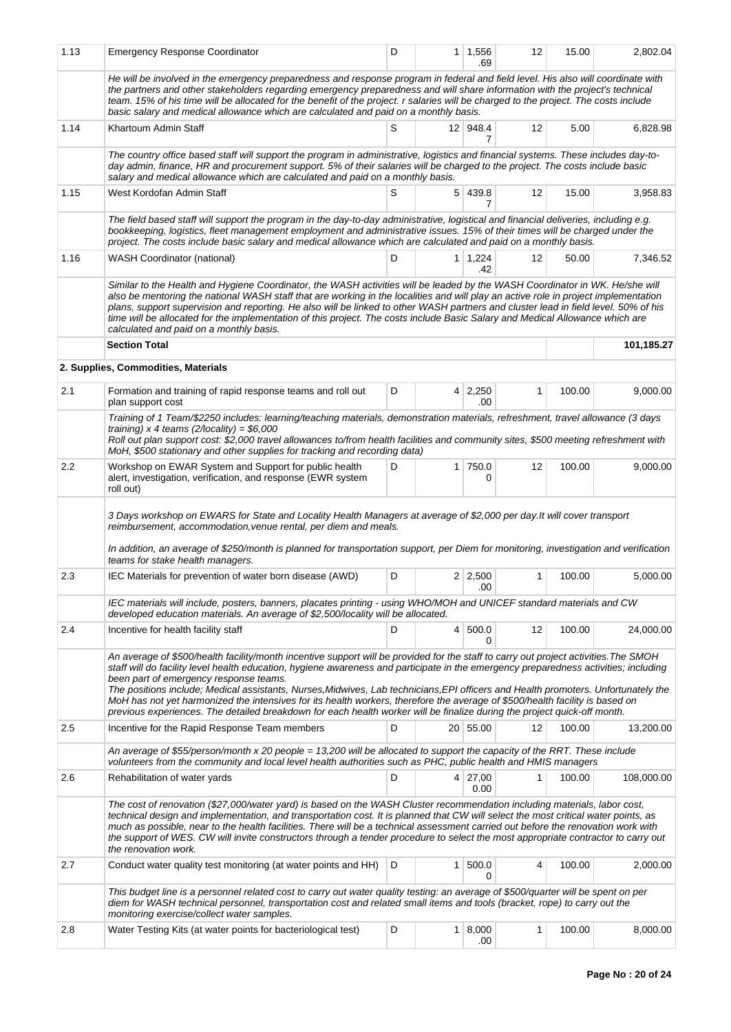| 1.13 | <b>Emergency Response Coordinator</b>                                                                                                                                                                                                                                                                                                                                                                                                                                                                                                                                                                                                                                                                                    | D |                | $1 \mid 1,556$<br>.69  | 12           | 15.00  | 2,802.04   |
|------|--------------------------------------------------------------------------------------------------------------------------------------------------------------------------------------------------------------------------------------------------------------------------------------------------------------------------------------------------------------------------------------------------------------------------------------------------------------------------------------------------------------------------------------------------------------------------------------------------------------------------------------------------------------------------------------------------------------------------|---|----------------|------------------------|--------------|--------|------------|
|      | He will be involved in the emergency preparedness and response program in federal and field level. His also will coordinate with<br>the partners and other stakeholders regarding emergency preparedness and will share information with the project's technical<br>team. 15% of his time will be allocated for the benefit of the project. r salaries will be charged to the project. The costs include<br>basic salary and medical allowance which are calculated and paid on a monthly basis.                                                                                                                                                                                                                         |   |                |                        |              |        |            |
| 1.14 | Khartoum Admin Staff                                                                                                                                                                                                                                                                                                                                                                                                                                                                                                                                                                                                                                                                                                     | S |                | 12 948.4<br>7          | 12           | 5.00   | 6,828.98   |
|      | The country office based staff will support the program in administrative, logistics and financial systems. These includes day-to-<br>day admin, finance, HR and procurement support. 5% of their salaries will be charged to the project. The costs include basic<br>salary and medical allowance which are calculated and paid on a monthly basis.                                                                                                                                                                                                                                                                                                                                                                     |   |                |                        |              |        |            |
| 1.15 | West Kordofan Admin Staff                                                                                                                                                                                                                                                                                                                                                                                                                                                                                                                                                                                                                                                                                                | S |                | 5 439.8<br>7           | 12           | 15.00  | 3,958.83   |
|      | The field based staff will support the program in the day-to-day administrative, logistical and financial deliveries, including e.g.<br>bookkeeping, logistics, fleet management employment and administrative issues. 15% of their times will be charged under the<br>project. The costs include basic salary and medical allowance which are calculated and paid on a monthly basis.                                                                                                                                                                                                                                                                                                                                   |   |                |                        |              |        |            |
| 1.16 | <b>WASH Coordinator (national)</b>                                                                                                                                                                                                                                                                                                                                                                                                                                                                                                                                                                                                                                                                                       | D |                | $1 \mid 1,224$<br>.42  | 12           | 50.00  | 7,346.52   |
|      | Similar to the Health and Hygiene Coordinator, the WASH activities will be leaded by the WASH Coordinator in WK. He/she will<br>also be mentoring the national WASH staff that are working in the localities and will play an active role in project implementation<br>plans, support supervision and reporting. He also will be linked to other WASH partners and cluster lead in field level. 50% of his<br>time will be allocated for the implementation of this project. The costs include Basic Salary and Medical Allowance which are<br>calculated and paid on a monthly basis.                                                                                                                                   |   |                |                        |              |        |            |
|      | <b>Section Total</b>                                                                                                                                                                                                                                                                                                                                                                                                                                                                                                                                                                                                                                                                                                     |   |                |                        |              |        | 101,185.27 |
|      | 2. Supplies, Commodities, Materials                                                                                                                                                                                                                                                                                                                                                                                                                                                                                                                                                                                                                                                                                      |   |                |                        |              |        |            |
| 2.1  | Formation and training of rapid response teams and roll out<br>plan support cost                                                                                                                                                                                                                                                                                                                                                                                                                                                                                                                                                                                                                                         | D |                | $4 \mid 2,250$<br>.00  | $\mathbf{1}$ | 100.00 | 9,000.00   |
|      | Training of 1 Team/\$2250 includes: learning/teaching materials, demonstration materials, refreshment, travel allowance (3 days<br>training) x 4 teams $(2/locality) = $6,000$<br>Roll out plan support cost: \$2,000 travel allowances to/from health facilities and community sites, \$500 meeting refreshment with<br>MoH, \$500 stationary and other supplies for tracking and recording data)                                                                                                                                                                                                                                                                                                                       |   |                |                        |              |        |            |
| 2.2  | Workshop on EWAR System and Support for public health<br>alert, investigation, verification, and response (EWR system<br>roll out)                                                                                                                                                                                                                                                                                                                                                                                                                                                                                                                                                                                       | D | 1 <sup>1</sup> | 750.0<br>0             | 12           | 100.00 | 9,000.00   |
|      | 3 Days workshop on EWARS for State and Locality Health Managers at average of \$2,000 per day. It will cover transport<br>reimbursement, accommodation, venue rental, per diem and meals.<br>In addition, an average of \$250/month is planned for transportation support, per Diem for monitoring, investigation and verification<br>teams for stake health managers.                                                                                                                                                                                                                                                                                                                                                   |   |                |                        |              |        |            |
| 2.3  | IEC Materials for prevention of water born disease (AWD)                                                                                                                                                                                                                                                                                                                                                                                                                                                                                                                                                                                                                                                                 | D |                | $2 \mid 2,500$<br>.00  | $\mathbf{1}$ | 100.00 | 5,000.00   |
|      | IEC materials will include, posters, banners, placates printing - using WHO/MOH and UNICEF standard materials and CW<br>developed education materials. An average of \$2,500/locality will be allocated.                                                                                                                                                                                                                                                                                                                                                                                                                                                                                                                 |   |                |                        |              |        |            |
| 2.4  | Incentive for health facility staff                                                                                                                                                                                                                                                                                                                                                                                                                                                                                                                                                                                                                                                                                      | D | 4 <sup>1</sup> | 500.0<br>0             | 12           | 100.00 | 24,000.00  |
|      | An average of \$500/health facility/month incentive support will be provided for the staff to carry out project activities. The SMOH<br>staff will do facility level health education, hygiene awareness and participate in the emergency preparedness activities; including<br>been part of emergency response teams.<br>The positions include; Medical assistants, Nurses, Midwives, Lab technicians, EPI officers and Health promoters. Unfortunately the<br>MoH has not yet harmonized the intensives for its health workers, therefore the average of \$500/health facility is based on<br>previous experiences. The detailed breakdown for each health worker will be finalize during the project quick-off month. |   |                |                        |              |        |            |
| 2.5  | Incentive for the Rapid Response Team members                                                                                                                                                                                                                                                                                                                                                                                                                                                                                                                                                                                                                                                                            | D |                | 20 55.00               | 12           | 100.00 | 13,200.00  |
|      | An average of \$55/person/month x 20 people = 13,200 will be allocated to support the capacity of the RRT. These include<br>volunteers from the community and local level health authorities such as PHC, public health and HMIS managers                                                                                                                                                                                                                                                                                                                                                                                                                                                                                |   |                |                        |              |        |            |
| 2.6  | Rehabilitation of water yards                                                                                                                                                                                                                                                                                                                                                                                                                                                                                                                                                                                                                                                                                            | D |                | $4 \mid 27,00$<br>0.00 | $\mathbf{1}$ | 100.00 | 108,000.00 |
|      | The cost of renovation (\$27,000/water yard) is based on the WASH Cluster recommendation including materials, labor cost,<br>technical design and implementation, and transportation cost. It is planned that CW will select the most critical water points, as<br>much as possible, near to the health facilities. There will be a technical assessment carried out before the renovation work with<br>the support of WES. CW will invite constructors through a tender procedure to select the most appropriate contractor to carry out<br>the renovation work.                                                                                                                                                        |   |                |                        |              |        |            |
| 2.7  | Conduct water quality test monitoring (at water points and HH)                                                                                                                                                                                                                                                                                                                                                                                                                                                                                                                                                                                                                                                           | D | 1              | 500.0<br>0             | 4            | 100.00 | 2,000.00   |
|      | This budget line is a personnel related cost to carry out water quality testing: an average of \$500/quarter will be spent on per<br>diem for WASH technical personnel, transportation cost and related small items and tools (bracket, rope) to carry out the<br>monitoring exercise/collect water samples.                                                                                                                                                                                                                                                                                                                                                                                                             |   |                |                        |              |        |            |
| 2.8  | Water Testing Kits (at water points for bacteriological test)                                                                                                                                                                                                                                                                                                                                                                                                                                                                                                                                                                                                                                                            | D |                | 1   8,000<br>.00       | 1            | 100.00 | 8,000.00   |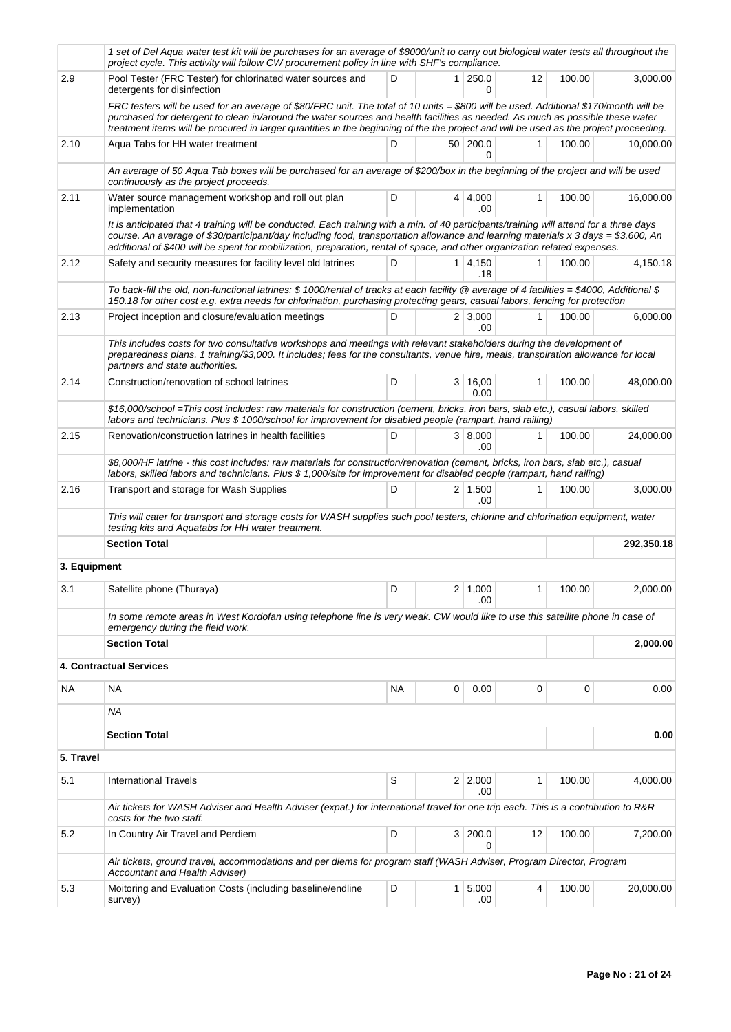|              | 1 set of Del Aqua water test kit will be purchases for an average of \$8000/unit to carry out biological water tests all throughout the<br>project cycle. This activity will follow CW procurement policy in line with SHF's compliance.                                                                                                                                                                       |    |                |                       |              |        |            |
|--------------|----------------------------------------------------------------------------------------------------------------------------------------------------------------------------------------------------------------------------------------------------------------------------------------------------------------------------------------------------------------------------------------------------------------|----|----------------|-----------------------|--------------|--------|------------|
| 2.9          | Pool Tester (FRC Tester) for chlorinated water sources and<br>detergents for disinfection                                                                                                                                                                                                                                                                                                                      | D  | 1 <sup>1</sup> | 250.0<br>0            | 12           | 100.00 | 3,000.00   |
|              | FRC testers will be used for an average of \$80/FRC unit. The total of 10 units = \$800 will be used. Additional \$170/month will be<br>purchased for detergent to clean in/around the water sources and health facilities as needed. As much as possible these water<br>treatment items will be procured in larger quantities in the beginning of the the project and will be used as the project proceeding. |    |                |                       |              |        |            |
| 2.10         | Aqua Tabs for HH water treatment                                                                                                                                                                                                                                                                                                                                                                               | D  |                | 50 200.0<br>0         | 1            | 100.00 | 10,000.00  |
|              | An average of 50 Aqua Tab boxes will be purchased for an average of \$200/box in the beginning of the project and will be used<br>continuously as the project proceeds.                                                                                                                                                                                                                                        |    |                |                       |              |        |            |
| 2.11         | Water source management workshop and roll out plan<br>implementation                                                                                                                                                                                                                                                                                                                                           | D  |                | $4 \mid 4.000$<br>.00 | $\mathbf{1}$ | 100.00 | 16,000.00  |
|              | It is anticipated that 4 training will be conducted. Each training with a min. of 40 participants/training will attend for a three days<br>course. An average of \$30/participant/day including food, transportation allowance and learning materials x 3 days = \$3,600, An<br>additional of \$400 will be spent for mobilization, preparation, rental of space, and other organization related expenses.     |    |                |                       |              |        |            |
| 2.12         | Safety and security measures for facility level old latrines                                                                                                                                                                                                                                                                                                                                                   | D  | $\mathbf{1}$   | 4,150<br>.18          | 1            | 100.00 | 4,150.18   |
|              | To back-fill the old, non-functional latrines: \$ 1000/rental of tracks at each facility @ average of 4 facilities = \$4000, Additional \$<br>150.18 for other cost e.g. extra needs for chlorination, purchasing protecting gears, casual labors, fencing for protection                                                                                                                                      |    |                |                       |              |        |            |
| 2.13         | Project inception and closure/evaluation meetings                                                                                                                                                                                                                                                                                                                                                              | D  |                | 2 3,000<br>.00        | 1            | 100.00 | 6,000.00   |
|              | This includes costs for two consultative workshops and meetings with relevant stakeholders during the development of<br>preparedness plans. 1 training/\$3,000. It includes; fees for the consultants, venue hire, meals, transpiration allowance for local<br>partners and state authorities.                                                                                                                 |    |                |                       |              |        |            |
| 2.14         | Construction/renovation of school latrines                                                                                                                                                                                                                                                                                                                                                                     | D  |                | 3 16,00<br>0.00       | 1            | 100.00 | 48,000.00  |
|              | \$16,000/school =This cost includes: raw materials for construction (cement, bricks, iron bars, slab etc.), casual labors, skilled<br>labors and technicians. Plus \$ 1000/school for improvement for disabled people (rampart, hand railing)                                                                                                                                                                  |    |                |                       |              |        |            |
| 2.15         | Renovation/construction latrines in health facilities                                                                                                                                                                                                                                                                                                                                                          | D  |                | 3   8,000<br>.00      | 1            | 100.00 | 24,000.00  |
|              | \$8,000/HF latrine - this cost includes: raw materials for construction/renovation (cement, bricks, iron bars, slab etc.), casual<br>labors, skilled labors and technicians. Plus \$1,000/site for improvement for disabled people (rampart, hand railing)                                                                                                                                                     |    |                |                       |              |        |            |
| 2.16         | Transport and storage for Wash Supplies                                                                                                                                                                                                                                                                                                                                                                        | D  |                | $2 \mid 1,500$<br>.00 | 1            | 100.00 | 3,000.00   |
|              | This will cater for transport and storage costs for WASH supplies such pool testers, chlorine and chlorination equipment, water<br>testing kits and Aquatabs for HH water treatment.                                                                                                                                                                                                                           |    |                |                       |              |        |            |
|              | <b>Section Total</b>                                                                                                                                                                                                                                                                                                                                                                                           |    |                |                       |              |        | 292,350.18 |
| 3. Equipment |                                                                                                                                                                                                                                                                                                                                                                                                                |    |                |                       |              |        |            |
| 3.1          | Satellite phone (Thuraya)                                                                                                                                                                                                                                                                                                                                                                                      | D  |                | $2 \mid 1,000$<br>.00 | 1            | 100.00 | 2.000.00   |
|              | In some remote areas in West Kordofan using telephone line is very weak. CW would like to use this satellite phone in case of<br>emergency during the field work.                                                                                                                                                                                                                                              |    |                |                       |              |        |            |
|              | <b>Section Total</b>                                                                                                                                                                                                                                                                                                                                                                                           |    |                |                       |              |        | 2,000.00   |
|              | 4. Contractual Services                                                                                                                                                                                                                                                                                                                                                                                        |    |                |                       |              |        |            |
| NA           | NA                                                                                                                                                                                                                                                                                                                                                                                                             | NA | 0              | 0.00                  | 0            | 0      | 0.00       |
|              | ΝA                                                                                                                                                                                                                                                                                                                                                                                                             |    |                |                       |              |        |            |
|              | <b>Section Total</b>                                                                                                                                                                                                                                                                                                                                                                                           |    |                |                       |              |        | 0.00       |
| 5. Travel    |                                                                                                                                                                                                                                                                                                                                                                                                                |    |                |                       |              |        |            |
| 5.1          | <b>International Travels</b>                                                                                                                                                                                                                                                                                                                                                                                   | S  |                | $2 \mid 2,000$<br>.00 | 1            | 100.00 | 4,000.00   |
|              | Air tickets for WASH Adviser and Health Adviser (expat.) for international travel for one trip each. This is a contribution to R&R<br>costs for the two staff.                                                                                                                                                                                                                                                 |    |                |                       |              |        |            |
| 5.2          | In Country Air Travel and Perdiem                                                                                                                                                                                                                                                                                                                                                                              | D  | 3 <sup>1</sup> | 200.0<br>0            | 12           | 100.00 | 7,200.00   |
|              | Air tickets, ground travel, accommodations and per diems for program staff (WASH Adviser, Program Director, Program<br>Accountant and Health Adviser)                                                                                                                                                                                                                                                          |    |                |                       |              |        |            |
| 5.3          | Moitoring and Evaluation Costs (including baseline/endline<br>survey)                                                                                                                                                                                                                                                                                                                                          | D  | 1 <sup>1</sup> | 5,000<br>.00          | 4            | 100.00 | 20,000.00  |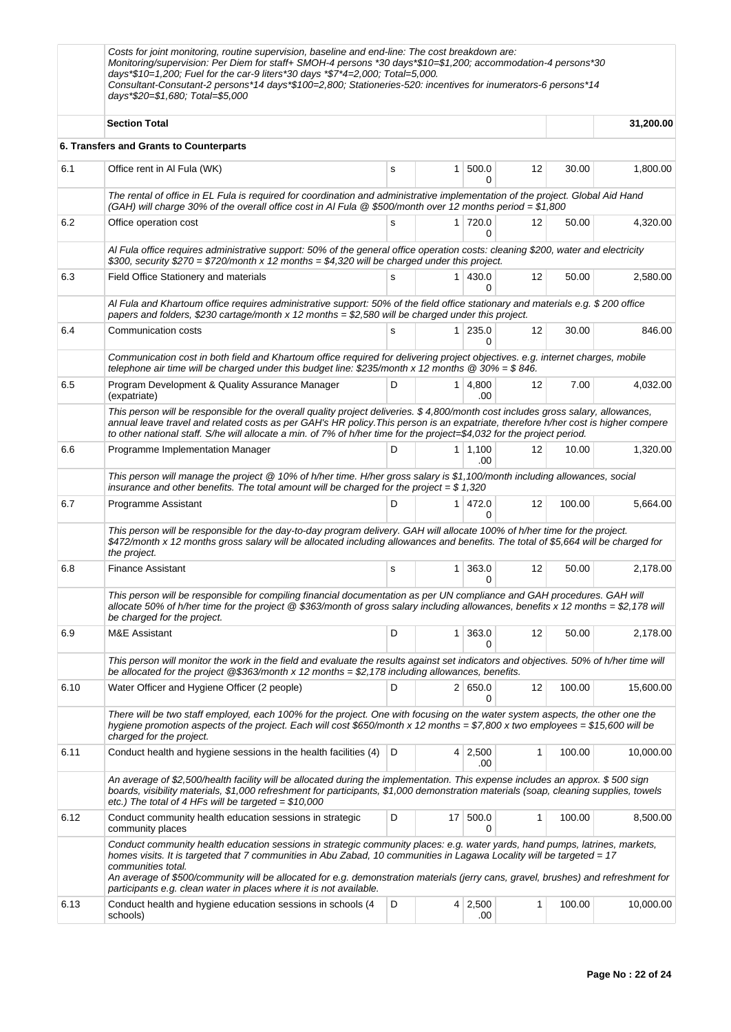|      | Costs for joint monitoring, routine supervision, baseline and end-line: The cost breakdown are:<br>Monitoring/supervision: Per Diem for staff+ SMOH-4 persons *30 days *\$10=\$1,200; accommodation-4 persons *30<br>days*\$10=1,200; Fuel for the car-9 liters*30 days *\$7*4=2,000; Total=5,000.<br>Consultant-Consutant-2 persons*14 days*\$100=2,800; Stationeries-520: incentives for inumerators-6 persons*14<br>days*\$20=\$1,680; Total=\$5,000 |   |                 |                        |                   |        |           |
|------|---------------------------------------------------------------------------------------------------------------------------------------------------------------------------------------------------------------------------------------------------------------------------------------------------------------------------------------------------------------------------------------------------------------------------------------------------------|---|-----------------|------------------------|-------------------|--------|-----------|
|      | <b>Section Total</b>                                                                                                                                                                                                                                                                                                                                                                                                                                    |   |                 |                        |                   |        | 31,200.00 |
|      | 6. Transfers and Grants to Counterparts                                                                                                                                                                                                                                                                                                                                                                                                                 |   |                 |                        |                   |        |           |
| 6.1  | Office rent in Al Fula (WK)                                                                                                                                                                                                                                                                                                                                                                                                                             | s | $\mathbf{1}$    | 500.0<br>0             | $12 \overline{ }$ | 30.00  | 1,800.00  |
|      | The rental of office in EL Fula is required for coordination and administrative implementation of the project. Global Aid Hand<br>(GAH) will charge 30% of the overall office cost in Al Fula $@$ \$500/month over 12 months period = \$1,800                                                                                                                                                                                                           |   |                 |                        |                   |        |           |
| 6.2  | Office operation cost                                                                                                                                                                                                                                                                                                                                                                                                                                   | s |                 | $1$ 720.0<br>0         | 12                | 50.00  | 4,320.00  |
|      | Al Fula office requires administrative support: 50% of the general office operation costs: cleaning \$200, water and electricity<br>\$300, security \$270 = \$720/month x 12 months = \$4,320 will be charged under this project.                                                                                                                                                                                                                       |   |                 |                        |                   |        |           |
| 6.3  | Field Office Stationery and materials                                                                                                                                                                                                                                                                                                                                                                                                                   | s |                 | $1 \, 430.0$<br>0      | 12                | 50.00  | 2,580.00  |
|      | Al Fula and Khartoum office requires administrative support: 50% of the field office stationary and materials e.g. \$200 office<br>papers and folders, \$230 cartage/month x 12 months = \$2,580 will be charged under this project.                                                                                                                                                                                                                    |   |                 |                        |                   |        |           |
| 6.4  | Communication costs                                                                                                                                                                                                                                                                                                                                                                                                                                     | s | 1 <sup>1</sup>  | 235.0<br>0             | 12                | 30.00  | 846.00    |
|      | Communication cost in both field and Khartoum office required for delivering project objectives. e.g. internet charges, mobile<br>telephone air time will be charged under this budget line: \$235/month x 12 months $@30\% = $846$ .                                                                                                                                                                                                                   |   |                 |                        |                   |        |           |
| 6.5  | Program Development & Quality Assurance Manager<br>(expatriate)                                                                                                                                                                                                                                                                                                                                                                                         | D |                 | $1 \mid 4,800$<br>.00. | 12                | 7.00   | 4,032.00  |
|      | This person will be responsible for the overall quality project deliveries. \$4,800/month cost includes gross salary, allowances,<br>annual leave travel and related costs as per GAH's HR policy. This person is an expatriate, therefore h/her cost is higher compere<br>to other national staff. S/he will allocate a min. of 7% of h/her time for the project=\$4,032 for the project period.                                                       |   |                 |                        |                   |        |           |
| 6.6  | Programme Implementation Manager                                                                                                                                                                                                                                                                                                                                                                                                                        | D |                 | $1 \mid 1,100$<br>.00  | 12                | 10.00  | 1,320.00  |
|      | This person will manage the project @ 10% of h/her time. H/her gross salary is \$1,100/month including allowances, social<br>insurance and other benefits. The total amount will be charged for the project = $$1,320$                                                                                                                                                                                                                                  |   |                 |                        |                   |        |           |
| 6.7  | Programme Assistant                                                                                                                                                                                                                                                                                                                                                                                                                                     | D |                 | 1 472.0<br>0           | $12 \overline{ }$ | 100.00 | 5,664.00  |
|      | This person will be responsible for the day-to-day program delivery. GAH will allocate 100% of h/her time for the project.<br>\$472/month x 12 months gross salary will be allocated including allowances and benefits. The total of \$5,664 will be charged for<br>the project.                                                                                                                                                                        |   |                 |                        |                   |        |           |
| 6.8  | <b>Finance Assistant</b>                                                                                                                                                                                                                                                                                                                                                                                                                                | s | 1 <sup>1</sup>  | 363.0<br>0             | 12                | 50.00  | 2,178.00  |
|      | This person will be responsible for compiling financial documentation as per UN compliance and GAH procedures. GAH will<br>allocate 50% of h/her time for the project @ \$363/month of gross salary including allowances, benefits x 12 months = \$2,178 will<br>be charged for the project.                                                                                                                                                            |   |                 |                        |                   |        |           |
| 6.9  | M&E Assistant                                                                                                                                                                                                                                                                                                                                                                                                                                           | D | 1 <sup>1</sup>  | 363.0<br>0             | 12                | 50.00  | 2,178.00  |
|      | This person will monitor the work in the field and evaluate the results against set indicators and objectives. 50% of h/her time will<br>be allocated for the project $@$363/month \times 12$ months = \$2,178 including allowances, benefits.                                                                                                                                                                                                          |   |                 |                        |                   |        |           |
| 6.10 | Water Officer and Hygiene Officer (2 people)                                                                                                                                                                                                                                                                                                                                                                                                            | D |                 | 2   650.0<br>0         | 12                | 100.00 | 15,600.00 |
|      | There will be two staff employed, each 100% for the project. One with focusing on the water system aspects, the other one the<br>hygiene promotion aspects of the project. Each will cost \$650/month x 12 months = \$7,800 x two employees = \$15,600 will be<br>charged for the project.                                                                                                                                                              |   |                 |                        |                   |        |           |
| 6.11 | Conduct health and hygiene sessions in the health facilities (4)                                                                                                                                                                                                                                                                                                                                                                                        | D |                 | $4 \mid 2,500$<br>.00  | 1                 | 100.00 | 10,000.00 |
|      | An average of \$2,500/health facility will be allocated during the implementation. This expense includes an approx. \$500 sign<br>boards, visibility materials, \$1,000 refreshment for participants, \$1,000 demonstration materials (soap, cleaning supplies, towels<br>etc.) The total of 4 HFs will be targeted = $$10,000$                                                                                                                         |   |                 |                        |                   |        |           |
| 6.12 | Conduct community health education sessions in strategic<br>community places                                                                                                                                                                                                                                                                                                                                                                            | D | 17 <sup>1</sup> | 500.0<br>0             | 1                 | 100.00 | 8,500.00  |
|      | Conduct community health education sessions in strategic community places: e.g. water yards, hand pumps, latrines, markets,<br>homes visits. It is targeted that 7 communities in Abu Zabad, 10 communities in Lagawa Locality will be targeted = 17<br>communities total.<br>An average of \$500/community will be allocated for e.g. demonstration materials (jerry cans, gravel, brushes) and refreshment for                                        |   |                 |                        |                   |        |           |
| 6.13 | participants e.g. clean water in places where it is not available.<br>Conduct health and hygiene education sessions in schools (4<br>schools)                                                                                                                                                                                                                                                                                                           | D |                 | $4 \mid 2,500$<br>.00  | 1                 | 100.00 | 10,000.00 |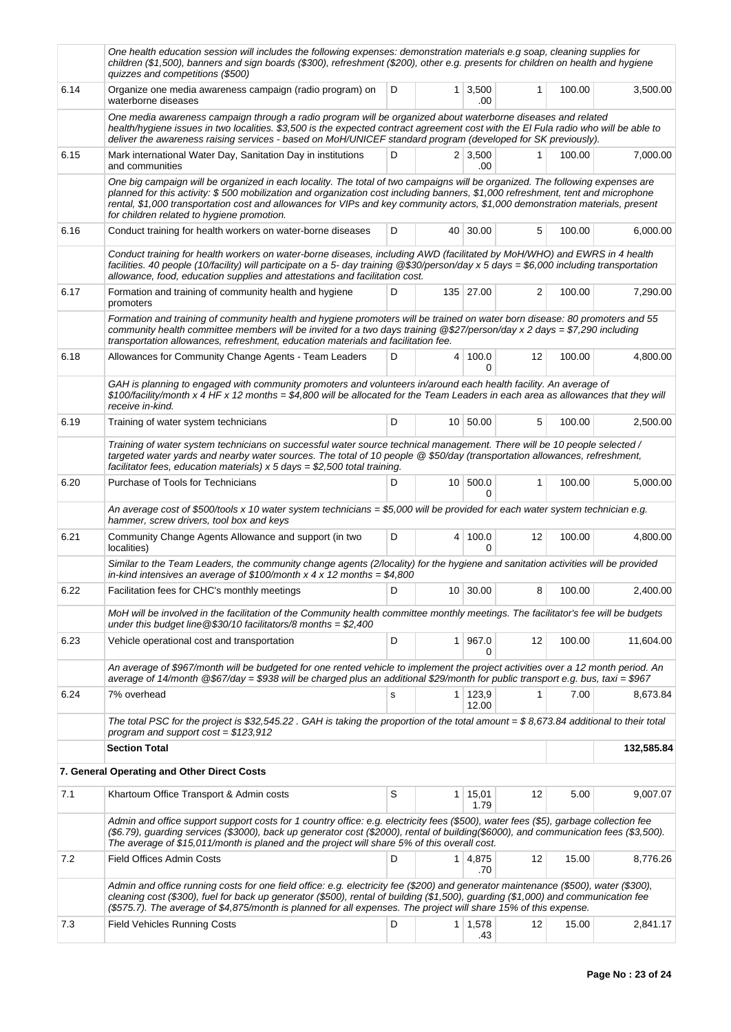|      | One health education session will includes the following expenses: demonstration materials e.g soap, cleaning supplies for<br>children (\$1,500), banners and sign boards (\$300), refreshment (\$200), other e.g. presents for children on health and hygiene<br>quizzes and competitions (\$500)                                                                                                                                               |    |                |                          |              |        |            |  |
|------|--------------------------------------------------------------------------------------------------------------------------------------------------------------------------------------------------------------------------------------------------------------------------------------------------------------------------------------------------------------------------------------------------------------------------------------------------|----|----------------|--------------------------|--------------|--------|------------|--|
| 6.14 | Organize one media awareness campaign (radio program) on<br>waterborne diseases                                                                                                                                                                                                                                                                                                                                                                  | D  | 1 <sup>1</sup> | 3,500<br>.00             | 1            | 100.00 | 3,500.00   |  |
|      | One media awareness campaign through a radio program will be organized about waterborne diseases and related<br>health/hygiene issues in two localities. \$3,500 is the expected contract agreement cost with the El Fula radio who will be able to<br>deliver the awareness raising services - based on MoH/UNICEF standard program (developed for SK previously).                                                                              |    |                |                          |              |        |            |  |
| 6.15 | Mark international Water Day, Sanitation Day in institutions<br>and communities                                                                                                                                                                                                                                                                                                                                                                  | D  |                | $2 \mid 3,500$<br>.00    | 1            | 100.00 | 7,000.00   |  |
|      | One big campaign will be organized in each locality. The total of two campaigns will be organized. The following expenses are<br>planned for this activity: \$500 mobilization and organization cost including banners, \$1,000 refreshment, tent and microphone<br>rental, \$1,000 transportation cost and allowances for VIPs and key community actors, \$1,000 demonstration materials, present<br>for children related to hygiene promotion. |    |                |                          |              |        |            |  |
| 6.16 | Conduct training for health workers on water-borne diseases                                                                                                                                                                                                                                                                                                                                                                                      | D  |                | 40 30.00                 | 5            | 100.00 | 6,000.00   |  |
|      | Conduct training for health workers on water-borne diseases, including AWD (facilitated by MoH/WHO) and EWRS in 4 health<br>facilities. 40 people (10/facility) will participate on a 5- day training @\$30/person/day x 5 days = \$6,000 including transportation<br>allowance, food, education supplies and attestations and facilitation cost.                                                                                                |    |                |                          |              |        |            |  |
| 6.17 | Formation and training of community health and hygiene<br>promoters                                                                                                                                                                                                                                                                                                                                                                              | D  |                | 135 27.00                | 2            | 100.00 | 7,290.00   |  |
|      | Formation and training of community health and hygiene promoters will be trained on water born disease: 80 promoters and 55<br>community health committee members will be invited for a two days training @\$27/person/day x 2 days = \$7,290 including<br>transportation allowances, refreshment, education materials and facilitation fee.                                                                                                     |    |                |                          |              |        |            |  |
| 6.18 | Allowances for Community Change Agents - Team Leaders                                                                                                                                                                                                                                                                                                                                                                                            | D  | 4 <sup>1</sup> | 100.0<br>0               | 12           | 100.00 | 4,800.00   |  |
|      | GAH is planning to engaged with community promoters and volunteers in/around each health facility. An average of<br>\$100/facility/month x 4 HF x 12 months = \$4,800 will be allocated for the Team Leaders in each area as allowances that they will<br>receive in-kind.                                                                                                                                                                       |    |                |                          |              |        |            |  |
| 6.19 | Training of water system technicians                                                                                                                                                                                                                                                                                                                                                                                                             | D  |                | 10 50.00                 | 5            | 100.00 | 2,500.00   |  |
|      | Training of water system technicians on successful water source technical management. There will be 10 people selected /<br>targeted water yards and nearby water sources. The total of 10 people @ \$50/day (transportation allowances, refreshment,<br>facilitator fees, education materials) $x$ 5 days = \$2,500 total training.                                                                                                             |    |                |                          |              |        |            |  |
| 6.20 | Purchase of Tools for Technicians                                                                                                                                                                                                                                                                                                                                                                                                                | D  |                | 10 500.0<br><sup>0</sup> | 1            | 100.00 | 5,000.00   |  |
|      | An average cost of \$500/tools x 10 water system technicians = \$5,000 will be provided for each water system technician e.g.<br>hammer, screw drivers, tool box and keys                                                                                                                                                                                                                                                                        |    |                |                          |              |        |            |  |
| 6.21 | Community Change Agents Allowance and support (in two<br>localities)                                                                                                                                                                                                                                                                                                                                                                             | D  |                | 4 100.0<br>$\Omega$      | 12           | 100.00 | 4,800.00   |  |
|      | Similar to the Team Leaders, the community change agents (2/locality) for the hygiene and sanitation activities will be provided<br>in-kind intensives an average of \$100/month x 4 x 12 months = \$4,800                                                                                                                                                                                                                                       |    |                |                          |              |        |            |  |
| 6.22 | Facilitation fees for CHC's monthly meetings                                                                                                                                                                                                                                                                                                                                                                                                     | D. |                | 10 30.00                 | R            | 100.00 | 2,400.00   |  |
|      | MoH will be involved in the facilitation of the Community health committee monthly meetings. The facilitator's fee will be budgets<br>under this budget line $@$30/10$ facilitators/8 months = \$2,400                                                                                                                                                                                                                                           |    |                |                          |              |        |            |  |
| 6.23 | Vehicle operational cost and transportation                                                                                                                                                                                                                                                                                                                                                                                                      | D  | 1 <sup>1</sup> | 967.0<br>0               | 12           | 100.00 | 11,604.00  |  |
|      | An average of \$967/month will be budgeted for one rented vehicle to implement the project activities over a 12 month period. An<br>average of 14/month @\$67/day = \$938 will be charged plus an additional \$29/month for public transport e.g. bus, taxi = \$967                                                                                                                                                                              |    |                |                          |              |        |            |  |
| 6.24 | 7% overhead                                                                                                                                                                                                                                                                                                                                                                                                                                      | s  | 1 <sup>1</sup> | 123,9<br>12.00           | $\mathbf{1}$ | 7.00   | 8,673.84   |  |
|      | The total PSC for the project is \$32,545.22. GAH is taking the proportion of the total amount = \$8,673.84 additional to their total<br>program and support $cost = $123.912$                                                                                                                                                                                                                                                                   |    |                |                          |              |        |            |  |
|      | <b>Section Total</b>                                                                                                                                                                                                                                                                                                                                                                                                                             |    |                |                          |              |        | 132,585.84 |  |
|      | 7. General Operating and Other Direct Costs                                                                                                                                                                                                                                                                                                                                                                                                      |    |                |                          |              |        |            |  |
| 7.1  | Khartoum Office Transport & Admin costs                                                                                                                                                                                                                                                                                                                                                                                                          | S  |                | $1 \mid 15,01$<br>1.79   | 12           | 5.00   | 9,007.07   |  |
|      | Admin and office support support costs for 1 country office: e.g. electricity fees (\$500), water fees (\$5), garbage collection fee<br>(\$6.79), guarding services (\$3000), back up generator cost (\$2000), rental of building(\$6000), and communication fees (\$3,500).<br>The average of \$15,011/month is planed and the project will share 5% of this overall cost.                                                                      |    |                |                          |              |        |            |  |
| 7.2  | <b>Field Offices Admin Costs</b>                                                                                                                                                                                                                                                                                                                                                                                                                 | D  |                | 1 4,875<br>.70           | 12           | 15.00  | 8,776.26   |  |
|      | Admin and office running costs for one field office: e.g. electricity fee (\$200) and generator maintenance (\$500), water (\$300),<br>cleaning cost (\$300), fuel for back up generator (\$500), rental of building (\$1,500), guarding (\$1,000) and communication fee<br>(\$575.7). The average of \$4,875/month is planned for all expenses. The project will share 15% of this expense.                                                     |    |                |                          |              |        |            |  |
| 7.3  | <b>Field Vehicles Running Costs</b>                                                                                                                                                                                                                                                                                                                                                                                                              | D  | 1              | 1,578<br>.43             | 12           | 15.00  | 2,841.17   |  |